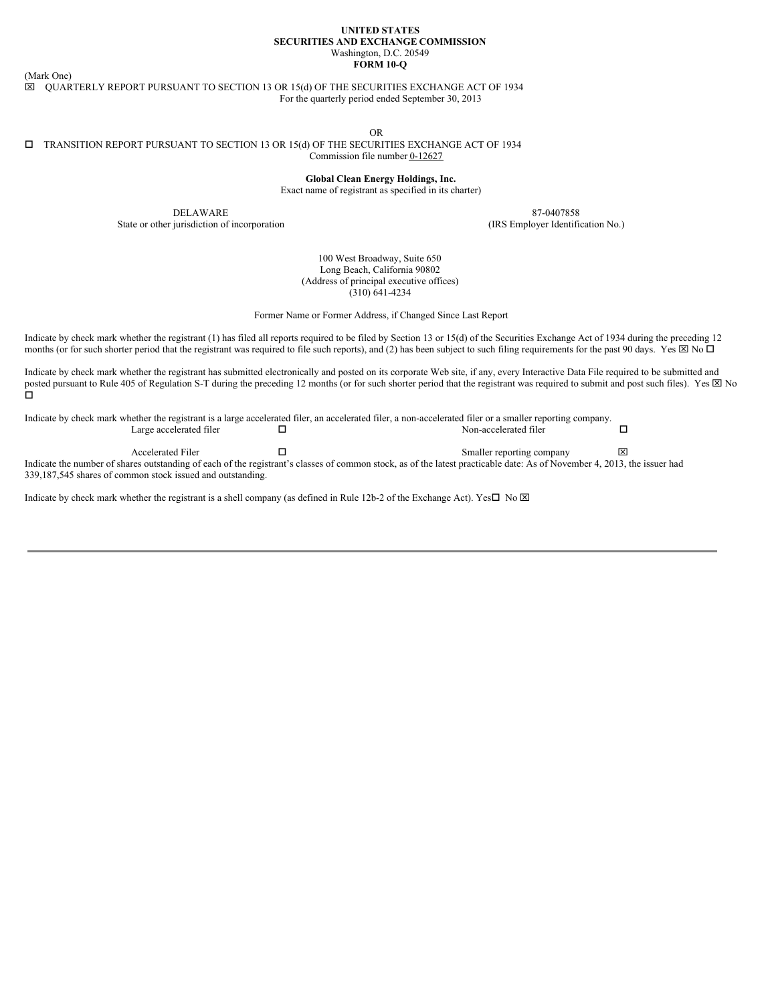#### **UNITED STATES SECURITIES AND EXCHANGE COMMISSION** Washington, D.C. 20549 **FORM 10-Q**

(Mark One)

 $\boxtimes$  QUARTERLY REPORT PURSUANT TO SECTION 13 OR 15(d) OF THE SECURITIES EXCHANGE ACT OF 1934 For the quarterly period ended September 30, 2013

OR

 $\square$  TRANSITION REPORT PURSUANT TO SECTION 13 OR 15(d) OF THE SECURITIES EXCHANGE ACT OF 1934 Commission file number 0-12627

**Global Clean Energy Holdings, Inc.**

Exact name of registrant as specified in its charter)

DELAWARE 87-0407858 State or other jurisdiction of incorporation (IRS Employer Identification No.)

100 West Broadway, Suite 650 Long Beach, California 90802 (Address of principal executive offices) (310) 641-4234

Former Name or Former Address, if Changed Since Last Report

Indicate by check mark whether the registrant (1) has filed all reports required to be filed by Section 13 or 15(d) of the Securities Exchange Act of 1934 during the preceding 12 months (or for such shorter period that the registrant was required to file such reports), and (2) has been subject to such filing requirements for the past 90 days. Yes  $\boxtimes$  No  $\Box$ 

Indicate by check mark whether the registrant has submitted electronically and posted on its corporate Web site, if any, every Interactive Data File required to be submitted and posted pursuant to Rule 405 of Regulation S-T during the preceding 12 months (or for such shorter period that the registrant was required to submit and post such files). Yes  $\boxtimes$  No o

| Indicate by check mark whether the registrant is a large accelerated filer, an accelerated filer, a non-accelerated filer or a smaller reporting company.                |                                                            |  |                           |                         |  |  |
|--------------------------------------------------------------------------------------------------------------------------------------------------------------------------|------------------------------------------------------------|--|---------------------------|-------------------------|--|--|
|                                                                                                                                                                          | Large accelerated filer                                    |  | Non-accelerated filer     |                         |  |  |
|                                                                                                                                                                          | Accelerated Filer                                          |  | Smaller reporting company | $\overline{\mathsf{x}}$ |  |  |
| Indicate the number of shares outstanding of each of the registrant's classes of common stock, as of the latest practicable date: As of November 4, 2013, the issuer had |                                                            |  |                           |                         |  |  |
|                                                                                                                                                                          | 339,187,545 shares of common stock issued and outstanding. |  |                           |                         |  |  |

Indicate by check mark whether the registrant is a shell company (as defined in Rule 12b-2 of the Exchange Act). Yes $\square$  No  $\boxtimes$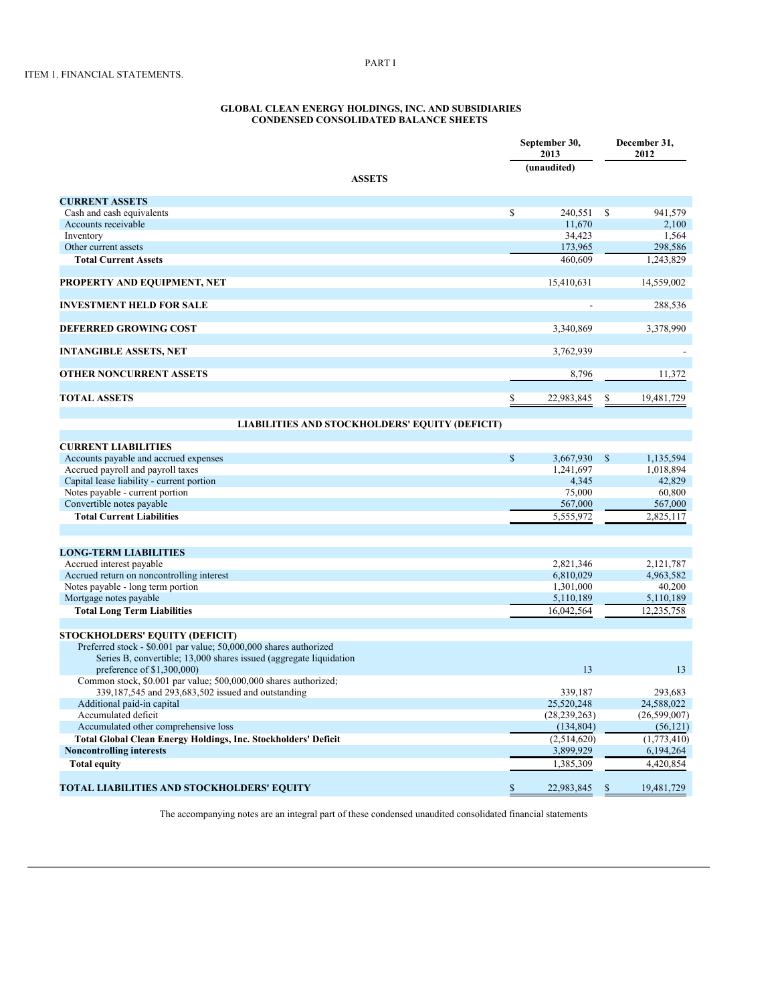#### **GLOBAL CLEAN ENERGY HOLDINGS, INC. AND SUBSIDIARIES CONDENSED CONSOLIDATED BALANCE SHEETS**

|                                                                                                                                         | September 30,<br>2013 |                |              | December 31,<br>2012 |
|-----------------------------------------------------------------------------------------------------------------------------------------|-----------------------|----------------|--------------|----------------------|
|                                                                                                                                         |                       | (unaudited)    |              |                      |
| <b>ASSETS</b>                                                                                                                           |                       |                |              |                      |
| <b>CURRENT ASSETS</b>                                                                                                                   |                       |                |              |                      |
| Cash and cash equivalents                                                                                                               | \$                    | 240,551        | S            | 941,579              |
| Accounts receivable                                                                                                                     |                       | 11,670         |              | 2,100                |
| Inventory                                                                                                                               |                       | 34,423         |              | 1,564                |
| Other current assets                                                                                                                    |                       | 173,965        |              | 298,586              |
| <b>Total Current Assets</b>                                                                                                             |                       | 460,609        |              | 1,243,829            |
| PROPERTY AND EQUIPMENT, NET                                                                                                             |                       | 15,410,631     |              | 14,559,002           |
| <b>INVESTMENT HELD FOR SALE</b>                                                                                                         |                       |                |              | 288,536              |
| <b>DEFERRED GROWING COST</b>                                                                                                            |                       | 3,340,869      |              | 3,378,990            |
| <b>INTANGIBLE ASSETS, NET</b>                                                                                                           |                       | 3,762,939      |              |                      |
| <b>OTHER NONCURRENT ASSETS</b>                                                                                                          |                       | 8,796          |              | 11,372               |
|                                                                                                                                         |                       |                |              |                      |
| <b>TOTAL ASSETS</b>                                                                                                                     |                       | 22,983,845     |              | 19,481,729           |
| <b>LIABILITIES AND STOCKHOLDERS' EQUITY (DEFICIT)</b>                                                                                   |                       |                |              |                      |
| <b>CURRENT LIABILITIES</b>                                                                                                              |                       |                |              |                      |
| Accounts payable and accrued expenses                                                                                                   | $\mathbb{S}$          | 3,667,930      | $\mathbb{S}$ | 1,135,594            |
| Accrued payroll and payroll taxes                                                                                                       |                       | 1,241,697      |              | 1,018,894            |
| Capital lease liability - current portion                                                                                               |                       | 4,345          |              | 42,829               |
| Notes payable - current portion                                                                                                         |                       | 75,000         |              | 60,800               |
| Convertible notes payable                                                                                                               |                       | 567,000        |              | 567,000              |
| <b>Total Current Liabilities</b>                                                                                                        |                       | 5,555,972      |              | 2,825,117            |
|                                                                                                                                         |                       |                |              |                      |
| <b>LONG-TERM LIABILITIES</b>                                                                                                            |                       |                |              |                      |
| Accrued interest payable                                                                                                                |                       | 2,821,346      |              | 2,121,787            |
| Accrued return on noncontrolling interest                                                                                               |                       | 6,810,029      |              | 4,963,582            |
| Notes payable - long term portion                                                                                                       |                       | 1,301,000      |              | 40,200               |
| Mortgage notes payable                                                                                                                  |                       | 5,110,189      |              | 5,110,189            |
| <b>Total Long Term Liabilities</b>                                                                                                      |                       | 16,042,564     |              | 12,235,758           |
| <b>STOCKHOLDERS' EQUITY (DEFICIT)</b>                                                                                                   |                       |                |              |                      |
| Preferred stock - \$0.001 par value; 50,000,000 shares authorized<br>Series B, convertible; 13,000 shares issued (aggregate liquidation |                       |                |              |                      |
| preference of \$1,300,000)                                                                                                              |                       | 13             |              | 13                   |
| Common stock, \$0.001 par value; 500,000,000 shares authorized;<br>339,187,545 and 293,683,502 issued and outstanding                   |                       | 339,187        |              | 293,683              |
| Additional paid-in capital                                                                                                              |                       | 25,520,248     |              | 24,588,022           |
| Accumulated deficit                                                                                                                     |                       | (28, 239, 263) |              | (26, 599, 007)       |
| Accumulated other comprehensive loss                                                                                                    |                       | (134, 804)     |              | (56, 121)            |
| Total Global Clean Energy Holdings, Inc. Stockholders' Deficit                                                                          |                       | (2,514,620)    |              | (1,773,410)          |
| <b>Noncontrolling interests</b>                                                                                                         |                       | 3,899,929      |              | 6,194,264            |
| <b>Total equity</b>                                                                                                                     |                       | 1,385,309      |              | 4,420,854            |
| TOTAL LIABILITIES AND STOCKHOLDERS' EQUITY                                                                                              | \$                    | 22,983,845     | \$           | 19,481,729           |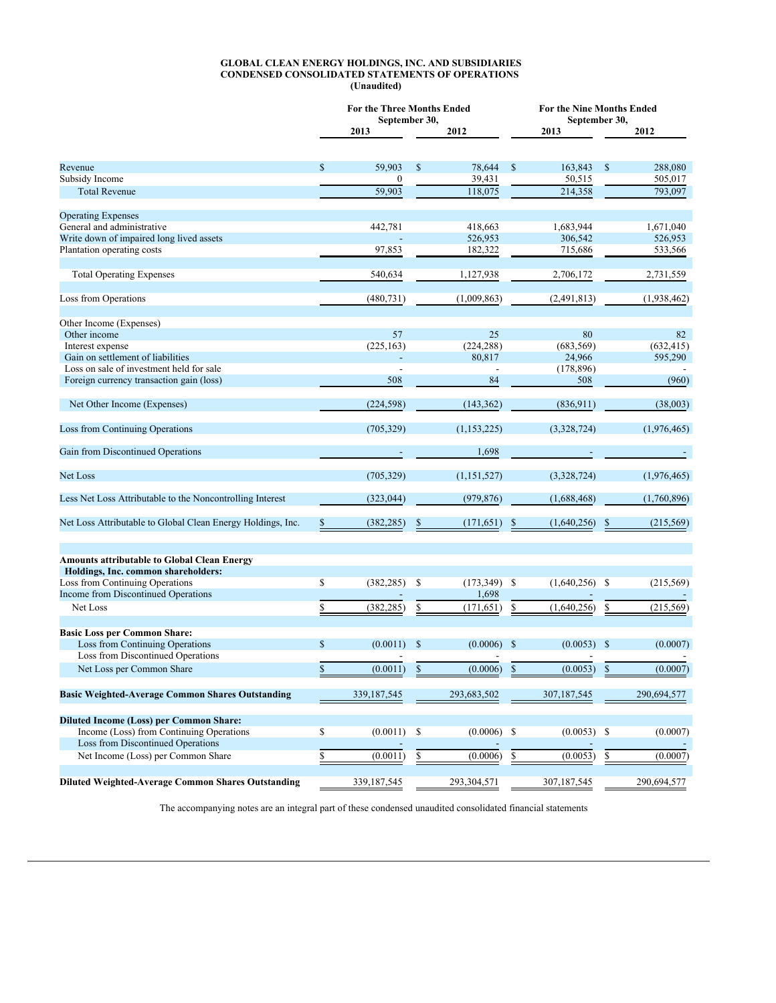### **GLOBAL CLEAN ENERGY HOLDINGS, INC. AND SUBSIDIARIES CONDENSED CONSOLIDATED STATEMENTS OF OPERATIONS (Unaudited)**

|                                                             | For the Three Months Ended<br>September 30, |               |              |                | For the Nine Months Ended<br>September 30, |                  |    |             |
|-------------------------------------------------------------|---------------------------------------------|---------------|--------------|----------------|--------------------------------------------|------------------|----|-------------|
|                                                             |                                             | 2013          |              | 2012           |                                            | 2013             |    | 2012        |
|                                                             |                                             |               |              |                |                                            |                  |    |             |
| Revenue                                                     | \$                                          | 59,903        | \$           | 78,644         | \$                                         | 163,843          | \$ | 288,080     |
| Subsidy Income                                              |                                             | $\bf{0}$      |              | 39,431         |                                            | 50,515           |    | 505,017     |
| <b>Total Revenue</b>                                        |                                             | 59,903        |              | 118,075        |                                            | 214,358          |    | 793,097     |
| <b>Operating Expenses</b>                                   |                                             |               |              |                |                                            |                  |    |             |
| General and administrative                                  |                                             | 442,781       |              | 418,663        |                                            | 1,683,944        |    | 1,671,040   |
| Write down of impaired long lived assets                    |                                             |               |              | 526,953        |                                            | 306,542          |    | 526,953     |
| Plantation operating costs                                  |                                             | 97,853        |              | 182,322        |                                            | 715,686          |    | 533,566     |
| <b>Total Operating Expenses</b>                             |                                             | 540,634       |              | 1,127,938      |                                            | 2,706,172        |    | 2,731,559   |
| Loss from Operations                                        |                                             | (480, 731)    |              | (1,009,863)    |                                            | (2,491,813)      |    | (1,938,462) |
| Other Income (Expenses)                                     |                                             |               |              |                |                                            |                  |    |             |
| Other income                                                |                                             | 57            |              | 25             |                                            | 80               |    | 82          |
| Interest expense                                            |                                             | (225, 163)    |              | (224, 288)     |                                            | (683, 569)       |    | (632, 415)  |
| Gain on settlement of liabilities                           |                                             |               |              | 80,817         |                                            | 24,966           |    | 595,290     |
| Loss on sale of investment held for sale                    |                                             | L,            |              |                |                                            | (178, 896)       |    |             |
| Foreign currency transaction gain (loss)                    |                                             | 508           |              | 84             |                                            | 508              |    | (960)       |
|                                                             |                                             |               |              |                |                                            |                  |    |             |
| Net Other Income (Expenses)                                 |                                             | (224, 598)    |              | (143, 362)     |                                            | (836,911)        |    | (38,003)    |
| Loss from Continuing Operations                             |                                             | (705, 329)    |              | (1, 153, 225)  |                                            | (3,328,724)      |    | (1,976,465) |
| Gain from Discontinued Operations                           |                                             |               |              | 1,698          |                                            |                  |    |             |
| Net Loss                                                    |                                             | (705, 329)    |              | (1, 151, 527)  |                                            | (3,328,724)      |    | (1,976,465) |
| Less Net Loss Attributable to the Noncontrolling Interest   |                                             | (323, 044)    |              | (979,876)      |                                            | (1,688,468)      |    | (1,760,896) |
| Net Loss Attributable to Global Clean Energy Holdings, Inc. | \$                                          | (382, 285)    | S            | (171, 651)     |                                            | (1,640,256)      |    | (215, 569)  |
| <b>Amounts attributable to Global Clean Energy</b>          |                                             |               |              |                |                                            |                  |    |             |
| Holdings, Inc. common shareholders:                         |                                             |               |              |                |                                            |                  |    |             |
| Loss from Continuing Operations                             | \$                                          | (382, 285)    | S            | $(173,349)$ \$ |                                            | $(1,640,256)$ \$ |    | (215, 569)  |
| Income from Discontinued Operations                         |                                             |               |              | 1,698          |                                            |                  |    |             |
| Net Loss                                                    | \$                                          | (382, 285)    | \$           | (171, 651)     | \$                                         | (1,640,256)      | \$ | (215, 569)  |
|                                                             |                                             |               |              |                |                                            |                  |    |             |
| <b>Basic Loss per Common Share:</b>                         |                                             |               |              |                |                                            |                  |    |             |
| Loss from Continuing Operations                             | \$                                          | (0.0011)      | S            | $(0.0006)$ \$  |                                            | $(0.0053)$ \$    |    | (0.0007)    |
| Loss from Discontinued Operations                           |                                             |               |              |                |                                            |                  |    |             |
| Net Loss per Common Share                                   | \$                                          | (0.0011)      | $\mathbb{S}$ | (0.0006)       | $\mathbb{S}$                               | (0.0053)         | \$ | (0.0007)    |
| <b>Basic Weighted-Average Common Shares Outstanding</b>     |                                             | 339, 187, 545 |              | 293,683,502    |                                            | 307, 187, 545    |    | 290,694,577 |
|                                                             |                                             |               |              |                |                                            |                  |    |             |
| <b>Diluted Income (Loss) per Common Share:</b>              |                                             |               |              |                |                                            |                  |    |             |
| Income (Loss) from Continuing Operations                    | \$                                          | (0.0011)      | -S           | $(0.0006)$ \$  |                                            | $(0.0053)$ \$    |    | (0.0007)    |
| Loss from Discontinued Operations                           |                                             |               |              |                |                                            |                  |    |             |
| Net Income (Loss) per Common Share                          | \$                                          | (0.0011)      | \$           | (0.0006)       | \$                                         | (0.0053)         | \$ | (0.0007)    |
| <b>Diluted Weighted-Average Common Shares Outstanding</b>   |                                             | 339,187,545   |              | 293,304,571    |                                            | 307,187,545      |    | 290,694,577 |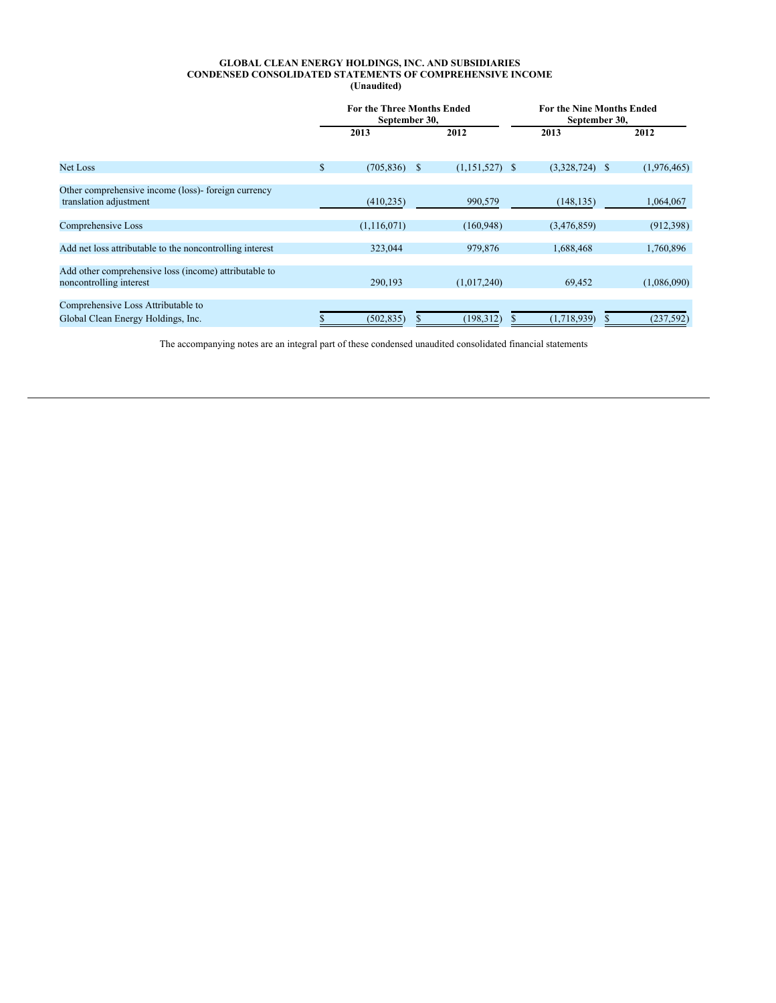#### **GLOBAL CLEAN ENERGY HOLDINGS, INC. AND SUBSIDIARIES CONDENSED CONSOLIDATED STATEMENTS OF COMPREHENSIVE INCOME (Unaudited)**

|                                                                                  | <b>For the Three Months Ended</b><br>September 30, |                 |                  | <b>For the Nine Months Ended</b><br>September 30, |             |
|----------------------------------------------------------------------------------|----------------------------------------------------|-----------------|------------------|---------------------------------------------------|-------------|
|                                                                                  |                                                    | 2013            | 2012             | 2013                                              | 2012        |
| Net Loss                                                                         | \$                                                 | $(705, 836)$ \$ | $(1,151,527)$ \$ | $(3,328,724)$ \$                                  | (1,976,465) |
| Other comprehensive income (loss)- foreign currency<br>translation adjustment    |                                                    | (410, 235)      | 990,579          | (148, 135)                                        | 1,064,067   |
| Comprehensive Loss                                                               |                                                    | (1,116,071)     | (160, 948)       | (3,476,859)                                       | (912, 398)  |
| Add net loss attributable to the noncontrolling interest                         |                                                    | 323,044         | 979,876          | 1,688,468                                         | 1,760,896   |
| Add other comprehensive loss (income) attributable to<br>noncontrolling interest |                                                    | 290,193         | (1,017,240)      | 69,452                                            | (1,086,090) |
| Comprehensive Loss Attributable to<br>Global Clean Energy Holdings, Inc.         |                                                    | (502, 835)      | (198, 312)       | (1,718,939)                                       | (237, 592)  |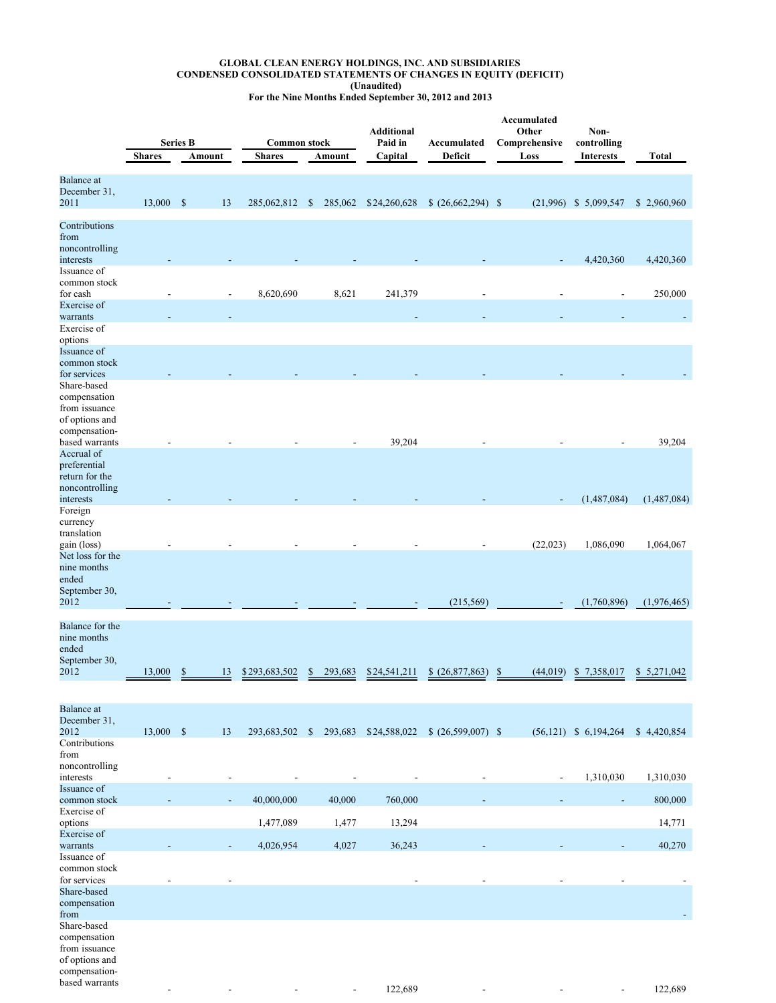# **GLOBAL CLEAN ENERGY HOLDINGS, INC. AND SUBSIDIARIES CONDENSED CONSOLIDATED STATEMENTS OF CHANGES IN EQUITY (DEFICIT) (Unaudited)**

**For the Nine Months Ended September 30, 2012 and 2013**

|                                                                                 | <b>Shares</b> | <b>Series B</b><br>Amount | <b>Common stock</b><br><b>Shares</b> | Amount        | <b>Additional</b><br>Paid in<br>Capital | Accumulated<br>Deficit                  | Accumulated<br>Other<br>Comprehensive<br>Loss | Non-<br>controlling<br><b>Interests</b> | <b>Total</b> |
|---------------------------------------------------------------------------------|---------------|---------------------------|--------------------------------------|---------------|-----------------------------------------|-----------------------------------------|-----------------------------------------------|-----------------------------------------|--------------|
| <b>Balance</b> at                                                               |               |                           |                                      |               |                                         |                                         |                                               |                                         |              |
| December 31,<br>2011                                                            | 13,000        | $\mathbf{s}$<br>13        | 285,062,812                          | \$<br>285,062 | \$24,260,628                            | $$ (26,662,294)$ \\$                    | (21,996)                                      | \$ 5,099,547                            | \$2,960,960  |
| Contributions<br>from                                                           |               |                           |                                      |               |                                         |                                         |                                               |                                         |              |
| noncontrolling<br>interests                                                     |               |                           |                                      |               |                                         |                                         |                                               | 4,420,360                               | 4,420,360    |
| Issuance of<br>common stock<br>for cash                                         |               | $\overline{\phantom{a}}$  | 8,620,690                            | 8,621         | 241,379                                 |                                         |                                               | $\overline{\phantom{a}}$                | 250,000      |
| Exercise of<br>warrants                                                         |               |                           |                                      |               |                                         |                                         |                                               |                                         |              |
| Exercise of<br>options                                                          |               |                           |                                      |               |                                         |                                         |                                               |                                         |              |
| Issuance of<br>common stock                                                     |               |                           |                                      |               |                                         |                                         |                                               |                                         |              |
| for services<br>Share-based                                                     |               |                           |                                      |               |                                         |                                         |                                               |                                         |              |
| compensation<br>from issuance<br>of options and                                 |               |                           |                                      |               |                                         |                                         |                                               |                                         |              |
| compensation-<br>based warrants                                                 |               |                           |                                      |               | 39,204                                  |                                         |                                               |                                         | 39,204       |
| Accrual of<br>preferential<br>return for the                                    |               |                           |                                      |               |                                         |                                         |                                               |                                         |              |
| noncontrolling<br>interests<br>Foreign                                          |               |                           |                                      |               |                                         |                                         |                                               | (1,487,084)                             | (1,487,084)  |
| currency<br>translation<br>gain (loss)                                          |               |                           |                                      |               |                                         |                                         | (22, 023)                                     | 1,086,090                               | 1,064,067    |
| Net loss for the<br>nine months<br>ended                                        |               |                           |                                      |               |                                         |                                         |                                               |                                         |              |
| September 30,<br>2012                                                           |               |                           |                                      |               |                                         | (215,569)                               |                                               | (1,760,896)                             | (1,976,465)  |
| Balance for the<br>nine months<br>ended                                         |               |                           |                                      |               |                                         |                                         |                                               |                                         |              |
| September 30,<br>2012                                                           | 13,000        | 13                        | \$293,683,502                        | 293,683       | \$24,541,211                            | \$ (26,877,863)                         | (44, 019)<br>\$                               | 7,358,017<br>\$                         | \$5,271,042  |
| <b>Balance</b> at                                                               |               |                           |                                      |               |                                         |                                         |                                               |                                         |              |
| December 31,<br>2012                                                            | 13,000 \$     | 13                        | 293,683,502 \$                       |               |                                         | 293,683 \$24,588,022 \$ (26,599,007) \$ |                                               | $(56,121)$ \$ 6,194,264                 | \$4,420,854  |
| Contributions<br>from<br>noncontrolling                                         |               |                           |                                      |               |                                         |                                         |                                               |                                         |              |
| interests<br>Issuance of                                                        |               |                           |                                      |               |                                         |                                         |                                               | 1,310,030                               | 1,310,030    |
| common stock<br>Exercise of                                                     |               |                           | 40,000,000                           | 40,000        | 760,000                                 |                                         |                                               |                                         | 800,000      |
| options<br>Exercise of                                                          |               |                           | 1,477,089<br>4,026,954               | 1,477         | 13,294                                  |                                         |                                               |                                         | 14,771       |
| warrants<br>Issuance of<br>common stock                                         |               |                           |                                      | 4,027         | 36,243                                  |                                         |                                               |                                         | 40,270       |
| for services<br>Share-based<br>compensation<br>from                             |               |                           |                                      |               |                                         |                                         |                                               |                                         |              |
| Share-based<br>compensation<br>from issuance<br>of options and<br>compensation- |               |                           |                                      |               |                                         |                                         |                                               |                                         |              |

based warrants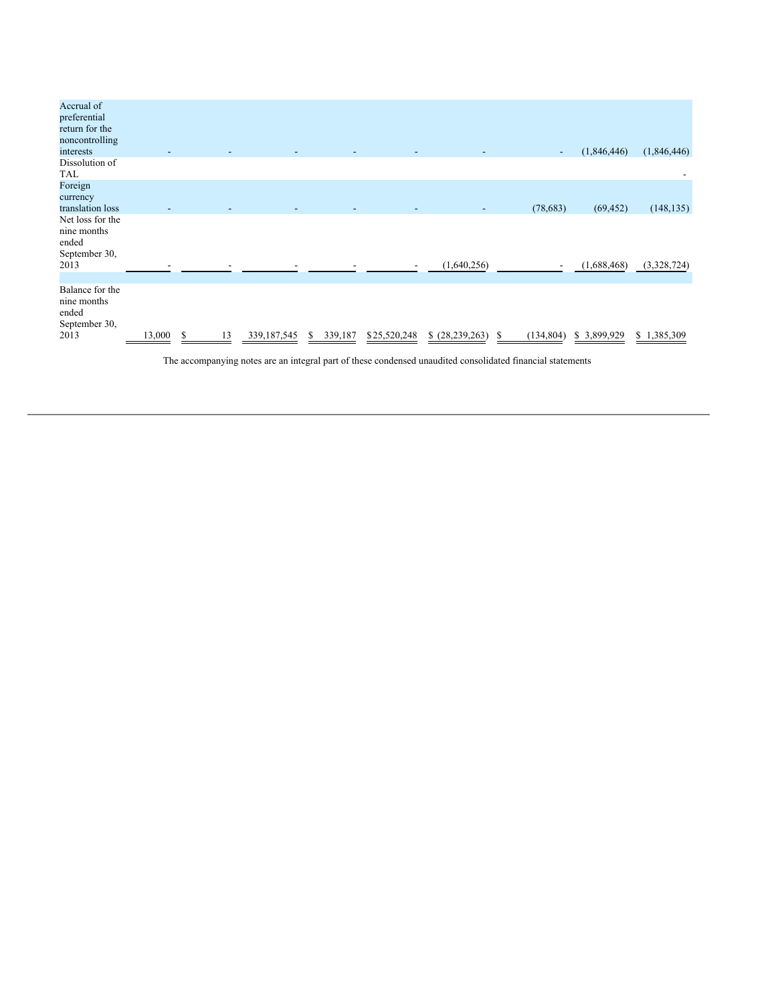| Accrual of<br>preferential<br>return for the<br>noncontrolling<br>interests<br>Dissolution of<br>TAL       |        |     |    |               |                         |              |                |            | (1,846,446)  | (1,846,446) |
|------------------------------------------------------------------------------------------------------------|--------|-----|----|---------------|-------------------------|--------------|----------------|------------|--------------|-------------|
| Foreign<br>currency<br>translation loss                                                                    |        |     |    |               |                         |              |                | (78, 683)  | (69, 452)    | (148, 135)  |
| Net loss for the<br>nine months<br>ended<br>September 30,<br>2013                                          |        |     |    |               |                         |              | (1,640,256)    |            | (1,688,468)  | (3,328,724) |
| Balance for the<br>nine months<br>ended<br>September 30,<br>2013                                           | 13,000 | \$. | 13 | 339, 187, 545 | 339,187<br>$\mathbb{S}$ | \$25,520,248 | (28, 239, 263) | (134, 804) | \$ 3,899,929 | \$1,385,309 |
| The accompanying notes are an integral part of these condensed unaudited consolidated financial statements |        |     |    |               |                         |              |                |            |              |             |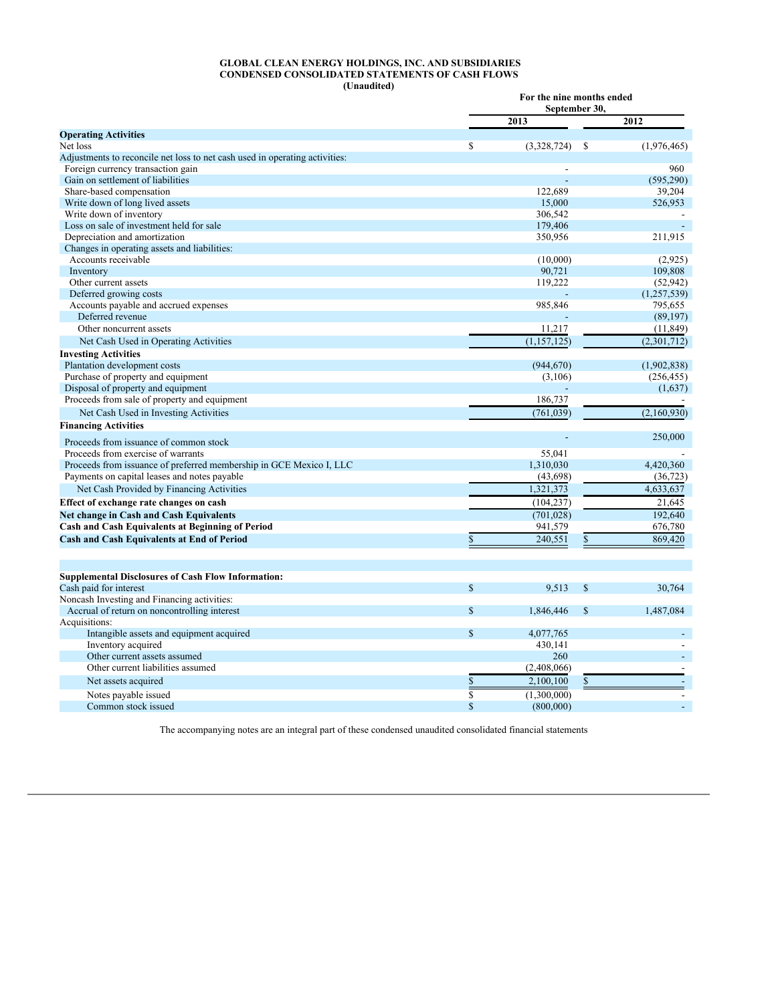### **GLOBAL CLEAN ENERGY HOLDINGS, INC. AND SUBSIDIARIES CONDENSED CONSOLIDATED STATEMENTS OF CASH FLOWS (Unaudited)**

|                                                                             | For the nine months ended<br>September 30, |             |              |                          |  |
|-----------------------------------------------------------------------------|--------------------------------------------|-------------|--------------|--------------------------|--|
|                                                                             |                                            | 2013        |              | 2012                     |  |
| <b>Operating Activities</b>                                                 |                                            |             |              |                          |  |
| Net loss                                                                    | \$                                         | (3,328,724) | S            | (1,976,465)              |  |
| Adjustments to reconcile net loss to net cash used in operating activities: |                                            |             |              |                          |  |
| Foreign currency transaction gain                                           |                                            |             |              | 960                      |  |
| Gain on settlement of liabilities                                           |                                            |             |              | (595, 290)               |  |
| Share-based compensation                                                    |                                            | 122.689     |              | 39,204                   |  |
| Write down of long lived assets                                             |                                            | 15,000      |              | 526,953                  |  |
| Write down of inventory                                                     |                                            | 306,542     |              |                          |  |
| Loss on sale of investment held for sale                                    |                                            | 179,406     |              |                          |  |
| Depreciation and amortization                                               |                                            | 350,956     |              | 211,915                  |  |
| Changes in operating assets and liabilities:                                |                                            |             |              |                          |  |
| Accounts receivable                                                         |                                            | (10,000)    |              | (2,925)                  |  |
| Inventory                                                                   |                                            | 90,721      |              | 109,808                  |  |
| Other current assets                                                        |                                            | 119,222     |              | (52, 942)                |  |
| Deferred growing costs                                                      |                                            |             |              | (1,257,539)              |  |
| Accounts payable and accrued expenses                                       |                                            | 985,846     |              | 795,655                  |  |
| Deferred revenue                                                            |                                            |             |              | (89, 197)                |  |
| Other noncurrent assets                                                     |                                            | 11,217      |              | (11, 849)                |  |
| Net Cash Used in Operating Activities                                       |                                            | (1,157,125) |              | (2,301,712)              |  |
| <b>Investing Activities</b>                                                 |                                            |             |              |                          |  |
| Plantation development costs                                                |                                            | (944, 670)  |              | (1,902,838)              |  |
| Purchase of property and equipment                                          |                                            | (3,106)     |              | (256, 455)               |  |
| Disposal of property and equipment                                          |                                            |             |              | (1,637)                  |  |
| Proceeds from sale of property and equipment                                |                                            | 186,737     |              |                          |  |
| Net Cash Used in Investing Activities                                       |                                            | (761, 039)  |              | (2,160,930)              |  |
|                                                                             |                                            |             |              |                          |  |
| <b>Financing Activities</b>                                                 |                                            |             |              | 250,000                  |  |
| Proceeds from issuance of common stock                                      |                                            |             |              |                          |  |
| Proceeds from exercise of warrants                                          |                                            | 55,041      |              |                          |  |
| Proceeds from issuance of preferred membership in GCE Mexico I, LLC         |                                            | 1,310,030   |              | 4,420,360                |  |
| Payments on capital leases and notes payable                                |                                            | (43,698)    |              | (36, 723)                |  |
| Net Cash Provided by Financing Activities                                   |                                            | 1,321,373   |              | 4,633,637                |  |
| Effect of exchange rate changes on cash                                     |                                            | (104, 237)  |              | 21,645                   |  |
| <b>Net change in Cash and Cash Equivalents</b>                              |                                            | (701, 028)  |              | 192,640                  |  |
| Cash and Cash Equivalents at Beginning of Period                            |                                            | 941,579     |              | 676,780                  |  |
| <b>Cash and Cash Equivalents at End of Period</b>                           | \$                                         | 240,551     | \$           | 869,420                  |  |
|                                                                             |                                            |             |              |                          |  |
| <b>Supplemental Disclosures of Cash Flow Information:</b>                   |                                            |             |              |                          |  |
| Cash paid for interest                                                      | \$                                         | 9,513       | $\mathbb{S}$ | 30,764                   |  |
| Noncash Investing and Financing activities:                                 |                                            |             |              |                          |  |
| Accrual of return on noncontrolling interest                                | \$                                         | 1,846,446   | $\mathbb{S}$ | 1,487,084                |  |
| Acquisitions:                                                               |                                            |             |              |                          |  |
| Intangible assets and equipment acquired                                    | $\mathbb{S}$                               | 4,077,765   |              |                          |  |
| Inventory acquired                                                          |                                            | 430,141     |              |                          |  |
| Other current assets assumed                                                |                                            | 260         |              |                          |  |
| Other current liabilities assumed                                           |                                            | (2,408,066) |              |                          |  |
| Net assets acquired                                                         | $\frac{1}{2}$                              | 2,100,100   | \$           | $\overline{\phantom{a}}$ |  |
|                                                                             | $\overline{\$}$                            |             |              |                          |  |
| Notes payable issued<br>Common stock issued                                 | \$                                         | (1,300,000) |              | $\blacksquare$           |  |
|                                                                             |                                            | (800,000)   |              |                          |  |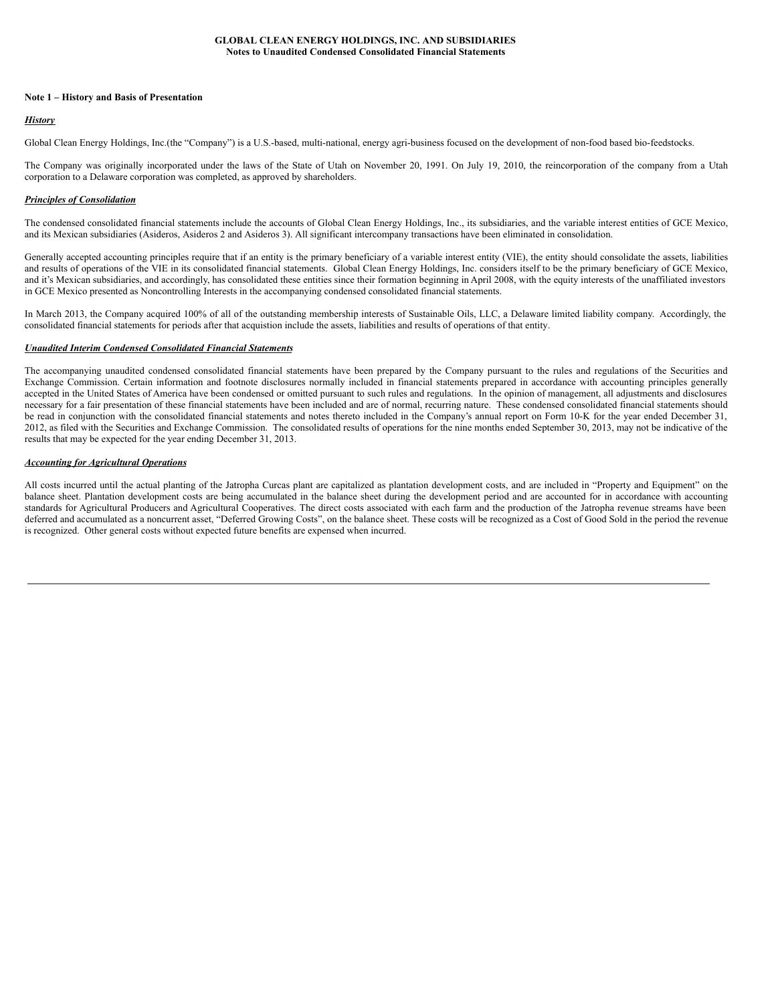### **Note 1 – History and Basis of Presentation**

## *History*

Global Clean Energy Holdings, Inc.(the "Company") is a U.S.-based, multi-national, energy agri-business focused on the development of non-food based bio-feedstocks.

The Company was originally incorporated under the laws of the State of Utah on November 20, 1991. On July 19, 2010, the reincorporation of the company from a Utah corporation to a Delaware corporation was completed, as approved by shareholders.

### *Principles of Consolidation*

The condensed consolidated financial statements include the accounts of Global Clean Energy Holdings, Inc., its subsidiaries, and the variable interest entities of GCE Mexico, and its Mexican subsidiaries (Asideros, Asideros 2 and Asideros 3). All significant intercompany transactions have been eliminated in consolidation.

Generally accepted accounting principles require that if an entity is the primary beneficiary of a variable interest entity (VIE), the entity should consolidate the assets, liabilities and results of operations of the VIE in its consolidated financial statements. Global Clean Energy Holdings, Inc. considers itself to be the primary beneficiary of GCE Mexico, and it's Mexican subsidiaries, and accordingly, has consolidated these entities since their formation beginning in April 2008, with the equity interests of the unaffiliated investors in GCE Mexico presented as Noncontrolling Interests in the accompanying condensed consolidated financial statements.

In March 2013, the Company acquired 100% of all of the outstanding membership interests of Sustainable Oils, LLC, a Delaware limited liability company. Accordingly, the consolidated financial statements for periods after that acquistion include the assets, liabilities and results of operations of that entity.

### *Unaudited Interim Condensed Consolidated Financial Statements*

The accompanying unaudited condensed consolidated financial statements have been prepared by the Company pursuant to the rules and regulations of the Securities and Exchange Commission. Certain information and footnote disclosures normally included in financial statements prepared in accordance with accounting principles generally accepted in the United States of America have been condensed or omitted pursuant to such rules and regulations. In the opinion of management, all adjustments and disclosures necessary for a fair presentation of these financial statements have been included and are of normal, recurring nature. These condensed consolidated financial statements should be read in conjunction with the consolidated financial statements and notes thereto included in the Company's annual report on Form 10-K for the year ended December 31, 2012, as filed with the Securities and Exchange Commission. The consolidated results of operations for the nine months ended September 30, 2013, may not be indicative of the results that may be expected for the year ending December 31, 2013.

#### *Accounting for Agricultural Operations*

All costs incurred until the actual planting of the Jatropha Curcas plant are capitalized as plantation development costs, and are included in "Property and Equipment" on the balance sheet. Plantation development costs are being accumulated in the balance sheet during the development period and are accounted for in accordance with accounting standards for Agricultural Producers and Agricultural Cooperatives. The direct costs associated with each farm and the production of the Jatropha revenue streams have been deferred and accumulated as a noncurrent asset, "Deferred Growing Costs", on the balance sheet. These costs will be recognized as a Cost of Good Sold in the period the revenue is recognized. Other general costs without expected future benefits are expensed when incurred.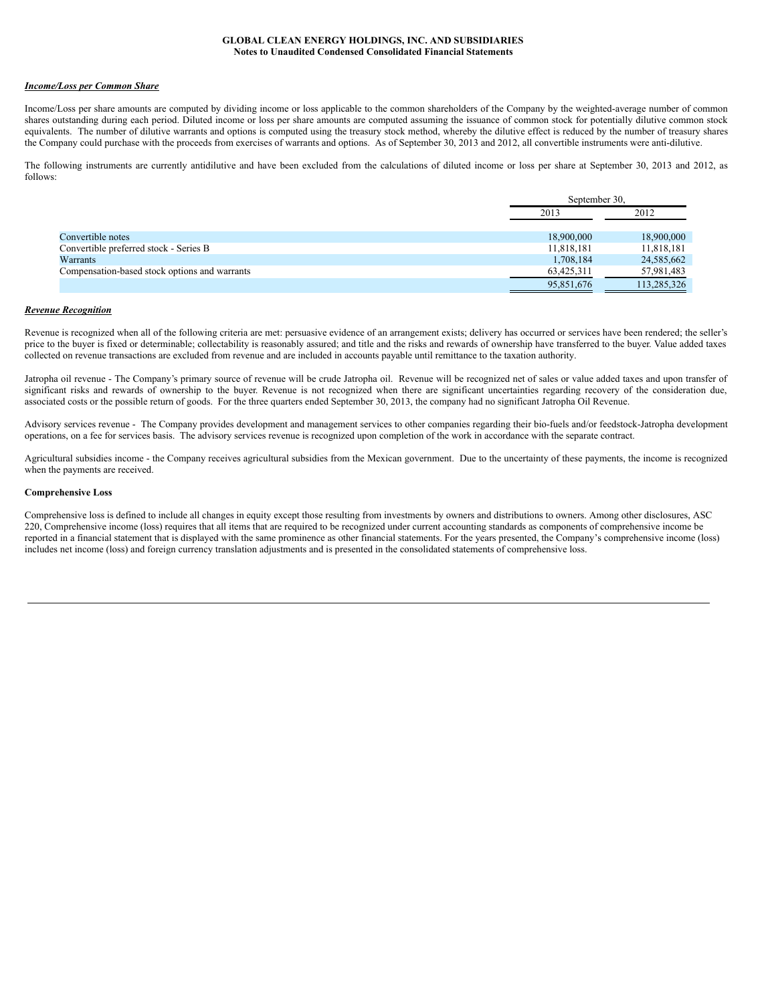#### *Income/Loss per Common Share*

Income/Loss per share amounts are computed by dividing income or loss applicable to the common shareholders of the Company by the weighted-average number of common shares outstanding during each period. Diluted income or loss per share amounts are computed assuming the issuance of common stock for potentially dilutive common stock equivalents. The number of dilutive warrants and options is computed using the treasury stock method, whereby the dilutive effect is reduced by the number of treasury shares the Company could purchase with the proceeds from exercises of warrants and options. As of September 30, 2013 and 2012, all convertible instruments were anti-dilutive.

The following instruments are currently antidilutive and have been excluded from the calculations of diluted income or loss per share at September 30, 2013 and 2012, as follows:

|                                               | September 30, |             |
|-----------------------------------------------|---------------|-------------|
|                                               | 2013          | 2012        |
| Convertible notes                             | 18,900,000    | 18,900,000  |
| Convertible preferred stock - Series B        | 11,818,181    | 11,818,181  |
| Warrants                                      | 1,708,184     | 24,585,662  |
| Compensation-based stock options and warrants | 63,425,311    | 57,981,483  |
|                                               | 95,851,676    | 113,285,326 |

#### *Revenue Recognition*

Revenue is recognized when all of the following criteria are met: persuasive evidence of an arrangement exists; delivery has occurred or services have been rendered; the seller's price to the buyer is fixed or determinable; collectability is reasonably assured; and title and the risks and rewards of ownership have transferred to the buyer. Value added taxes collected on revenue transactions are excluded from revenue and are included in accounts payable until remittance to the taxation authority.

Jatropha oil revenue - The Company's primary source of revenue will be crude Jatropha oil. Revenue will be recognized net of sales or value added taxes and upon transfer of significant risks and rewards of ownership to the buyer. Revenue is not recognized when there are significant uncertainties regarding recovery of the consideration due, associated costs or the possible return of goods. For the three quarters ended September 30, 2013, the company had no significant Jatropha Oil Revenue.

Advisory services revenue - The Company provides development and management services to other companies regarding their bio-fuels and/or feedstock-Jatropha development operations, on a fee for services basis. The advisory services revenue is recognized upon completion of the work in accordance with the separate contract.

Agricultural subsidies income - the Company receives agricultural subsidies from the Mexican government. Due to the uncertainty of these payments, the income is recognized when the payments are received.

### **Comprehensive Loss**

Comprehensive loss is defined to include all changes in equity except those resulting from investments by owners and distributions to owners. Among other disclosures, ASC 220, Comprehensive income (loss) requires that all items that are required to be recognized under current accounting standards as components of comprehensive income be reported in a financial statement that is displayed with the same prominence as other financial statements. For the years presented, the Company's comprehensive income (loss) includes net income (loss) and foreign currency translation adjustments and is presented in the consolidated statements of comprehensive loss.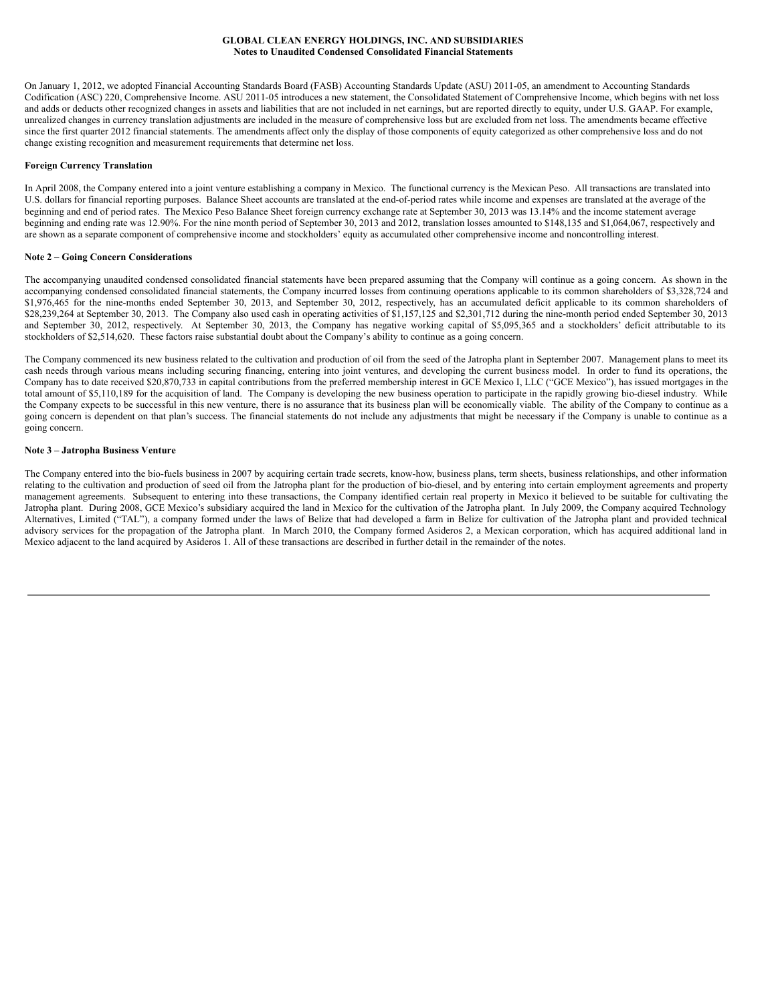On January 1, 2012, we adopted Financial Accounting Standards Board (FASB) Accounting Standards Update (ASU) 2011-05, an amendment to Accounting Standards Codification (ASC) 220, Comprehensive Income. ASU 2011-05 introduces a new statement, the Consolidated Statement of Comprehensive Income, which begins with net loss and adds or deducts other recognized changes in assets and liabilities that are not included in net earnings, but are reported directly to equity, under U.S. GAAP. For example, unrealized changes in currency translation adjustments are included in the measure of comprehensive loss but are excluded from net loss. The amendments became effective since the first quarter 2012 financial statements. The amendments affect only the display of those components of equity categorized as other comprehensive loss and do not change existing recognition and measurement requirements that determine net loss.

### **Foreign Currency Translation**

In April 2008, the Company entered into a joint venture establishing a company in Mexico. The functional currency is the Mexican Peso. All transactions are translated into U.S. dollars for financial reporting purposes. Balance Sheet accounts are translated at the end-of-period rates while income and expenses are translated at the average of the beginning and end of period rates. The Mexico Peso Balance Sheet foreign currency exchange rate at September 30, 2013 was 13.14% and the income statement average beginning and ending rate was 12.90%. For the nine month period of September 30, 2013 and 2012, translation losses amounted to \$148,135 and \$1,064,067, respectively and are shown as a separate component of comprehensive income and stockholders' equity as accumulated other comprehensive income and noncontrolling interest.

### **Note 2 – Going Concern Considerations**

The accompanying unaudited condensed consolidated financial statements have been prepared assuming that the Company will continue as a going concern. As shown in the accompanying condensed consolidated financial statements, the Company incurred losses from continuing operations applicable to its common shareholders of \$3,328,724 and \$1,976,465 for the nine-months ended September 30, 2013, and September 30, 2012, respectively, has an accumulated deficit applicable to its common shareholders of \$28,239,264 at September 30, 2013. The Company also used cash in operating activities of \$1,157,125 and \$2,301,712 during the nine-month period ended September 30, 2013 and September 30, 2012, respectively. At September 30, 2013, the Company has negative working capital of \$5,095,365 and a stockholders' deficit attributable to its stockholders of \$2,514,620. These factors raise substantial doubt about the Company's ability to continue as a going concern.

The Company commenced its new business related to the cultivation and production of oil from the seed of the Jatropha plant in September 2007. Management plans to meet its cash needs through various means including securing financing, entering into joint ventures, and developing the current business model. In order to fund its operations, the Company has to date received \$20,870,733 in capital contributions from the preferred membership interest in GCE Mexico I, LLC ("GCE Mexico"), has issued mortgages in the total amount of \$5,110,189 for the acquisition of land. The Company is developing the new business operation to participate in the rapidly growing bio-diesel industry. While the Company expects to be successful in this new venture, there is no assurance that its business plan will be economically viable. The ability of the Company to continue as a going concern is dependent on that plan's success. The financial statements do not include any adjustments that might be necessary if the Company is unable to continue as a going concern.

### **Note 3 – Jatropha Business Venture**

The Company entered into the bio-fuels business in 2007 by acquiring certain trade secrets, know-how, business plans, term sheets, business relationships, and other information relating to the cultivation and production of seed oil from the Jatropha plant for the production of bio-diesel, and by entering into certain employment agreements and property management agreements. Subsequent to entering into these transactions, the Company identified certain real property in Mexico it believed to be suitable for cultivating the Jatropha plant. During 2008, GCE Mexico's subsidiary acquired the land in Mexico for the cultivation of the Jatropha plant. In July 2009, the Company acquired Technology Alternatives, Limited ("TAL"), a company formed under the laws of Belize that had developed a farm in Belize for cultivation of the Jatropha plant and provided technical advisory services for the propagation of the Jatropha plant. In March 2010, the Company formed Asideros 2, a Mexican corporation, which has acquired additional land in Mexico adjacent to the land acquired by Asideros 1. All of these transactions are described in further detail in the remainder of the notes.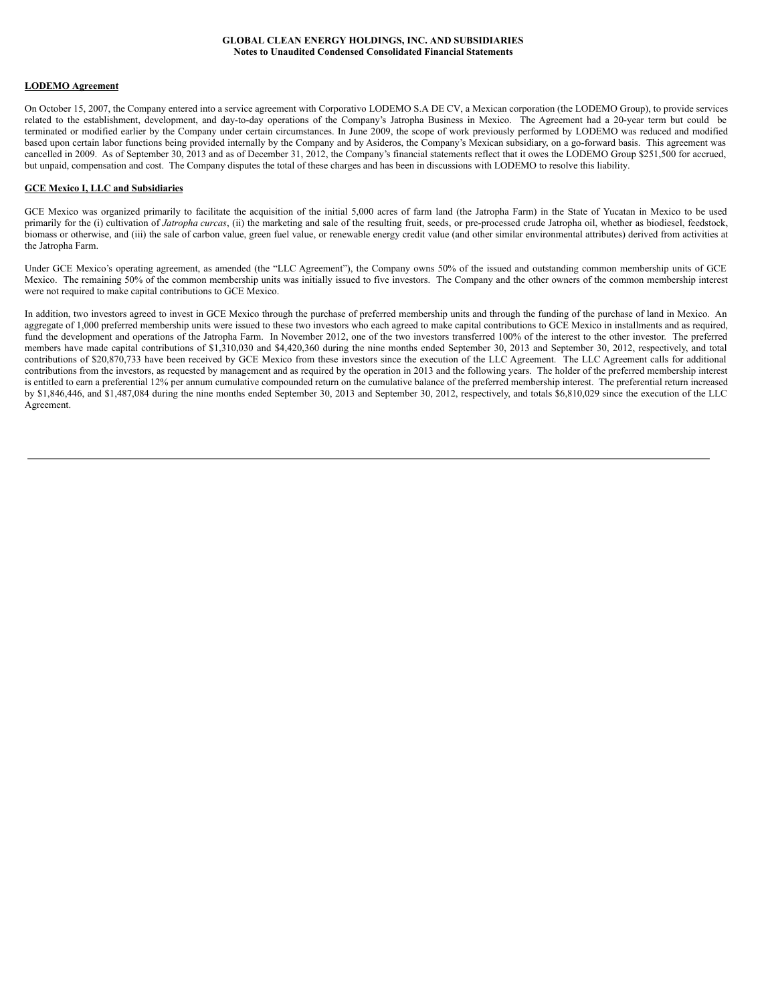## **LODEMO Agreement**

On October 15, 2007, the Company entered into a service agreement with Corporativo LODEMO S.A DE CV, a Mexican corporation (the LODEMO Group), to provide services related to the establishment, development, and day-to-day operations of the Company's Jatropha Business in Mexico. The Agreement had a 20-year term but could be terminated or modified earlier by the Company under certain circumstances. In June 2009, the scope of work previously performed by LODEMO was reduced and modified based upon certain labor functions being provided internally by the Company and by Asideros, the Company's Mexican subsidiary, on a go-forward basis. This agreement was cancelled in 2009. As of September 30, 2013 and as of December 31, 2012, the Company's financial statements reflect that it owes the LODEMO Group \$251,500 for accrued, but unpaid, compensation and cost. The Company disputes the total of these charges and has been in discussions with LODEMO to resolve this liability.

### **GCE Mexico I, LLC and Subsidiaries**

GCE Mexico was organized primarily to facilitate the acquisition of the initial 5,000 acres of farm land (the Jatropha Farm) in the State of Yucatan in Mexico to be used primarily for the (i) cultivation of *Jatropha curcas*, (ii) the marketing and sale of the resulting fruit, seeds, or pre-processed crude Jatropha oil, whether as biodiesel, feedstock, biomass or otherwise, and (iii) the sale of carbon value, green fuel value, or renewable energy credit value (and other similar environmental attributes) derived from activities at the Jatropha Farm.

Under GCE Mexico's operating agreement, as amended (the "LLC Agreement"), the Company owns 50% of the issued and outstanding common membership units of GCE Mexico. The remaining 50% of the common membership units was initially issued to five investors. The Company and the other owners of the common membership interest were not required to make capital contributions to GCE Mexico.

In addition, two investors agreed to invest in GCE Mexico through the purchase of preferred membership units and through the funding of the purchase of land in Mexico. An aggregate of 1,000 preferred membership units were issued to these two investors who each agreed to make capital contributions to GCE Mexico in installments and as required, fund the development and operations of the Jatropha Farm. In November 2012, one of the two investors transferred 100% of the interest to the other investor. The preferred members have made capital contributions of \$1,310,030 and \$4,420,360 during the nine months ended September 30, 2013 and September 30, 2012, respectively, and total contributions of \$20,870,733 have been received by GCE Mexico from these investors since the execution of the LLC Agreement. The LLC Agreement calls for additional contributions from the investors, as requested by management and as required by the operation in 2013 and the following years. The holder of the preferred membership interest is entitled to earn a preferential 12% per annum cumulative compounded return on the cumulative balance of the preferred membership interest. The preferential return increased by \$1,846,446, and \$1,487,084 during the nine months ended September 30, 2013 and September 30, 2012, respectively, and totals \$6,810,029 since the execution of the LLC Agreement.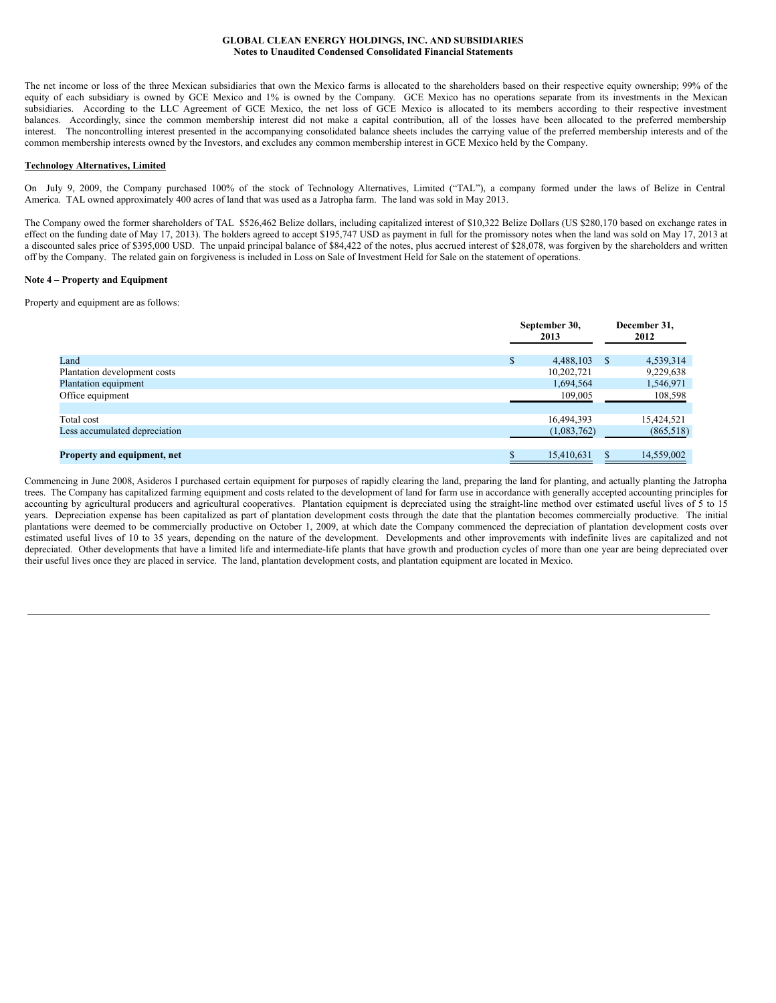The net income or loss of the three Mexican subsidiaries that own the Mexico farms is allocated to the shareholders based on their respective equity ownership; 99% of the equity of each subsidiary is owned by GCE Mexico and 1% is owned by the Company. GCE Mexico has no operations separate from its investments in the Mexican subsidiaries. According to the LLC Agreement of GCE Mexico, the net loss of GCE Mexico is allocated to its members according to their respective investment balances. Accordingly, since the common membership interest did not make a capital contribution, all of the losses have been allocated to the preferred membership interest. The noncontrolling interest presented in the accompanying consolidated balance sheets includes the carrying value of the preferred membership interests and of the common membership interests owned by the Investors, and excludes any common membership interest in GCE Mexico held by the Company.

#### **Technology Alternatives, Limited**

On July 9, 2009, the Company purchased 100% of the stock of Technology Alternatives, Limited ("TAL"), a company formed under the laws of Belize in Central America. TAL owned approximately 400 acres of land that was used as a Jatropha farm. The land was sold in May 2013.

The Company owed the former shareholders of TAL \$526,462 Belize dollars, including capitalized interest of \$10,322 Belize Dollars (US \$280,170 based on exchange rates in effect on the funding date of May 17, 2013). The holders agreed to accept \$195,747 USD as payment in full for the promissory notes when the land was sold on May 17, 2013 at a discounted sales price of \$395,000 USD. The unpaid principal balance of \$84,422 of the notes, plus accrued interest of \$28,078, was forgiven by the shareholders and written off by the Company. The related gain on forgiveness is included in Loss on Sale of Investment Held for Sale on the statement of operations.

#### **Note 4 – Property and Equipment**

Property and equipment are as follows:

|                               | September 30,<br>2013 |          | December 31,<br>2012 |
|-------------------------------|-----------------------|----------|----------------------|
| Land                          | \$<br>4,488,103       | <b>S</b> | 4,539,314            |
| Plantation development costs  | 10,202,721            |          | 9,229,638            |
| Plantation equipment          | 1,694,564             |          | 1,546,971            |
| Office equipment              | 109,005               |          | 108,598              |
| Total cost                    | 16,494,393            |          | 15,424,521           |
| Less accumulated depreciation | (1,083,762)           |          | (865,518)            |
| Property and equipment, net   | 15,410,631            |          | 14,559,002           |

Commencing in June 2008, Asideros I purchased certain equipment for purposes of rapidly clearing the land, preparing the land for planting, and actually planting the Jatropha trees. The Company has capitalized farming equipment and costs related to the development of land for farm use in accordance with generally accepted accounting principles for accounting by agricultural producers and agricultural cooperatives. Plantation equipment is depreciated using the straight-line method over estimated useful lives of 5 to 15 years. Depreciation expense has been capitalized as part of plantation development costs through the date that the plantation becomes commercially productive. The initial plantations were deemed to be commercially productive on October 1, 2009, at which date the Company commenced the depreciation of plantation development costs over estimated useful lives of 10 to 35 years, depending on the nature of the development. Developments and other improvements with indefinite lives are capitalized and not depreciated. Other developments that have a limited life and intermediate-life plants that have growth and production cycles of more than one year are being depreciated over their useful lives once they are placed in service. The land, plantation development costs, and plantation equipment are located in Mexico.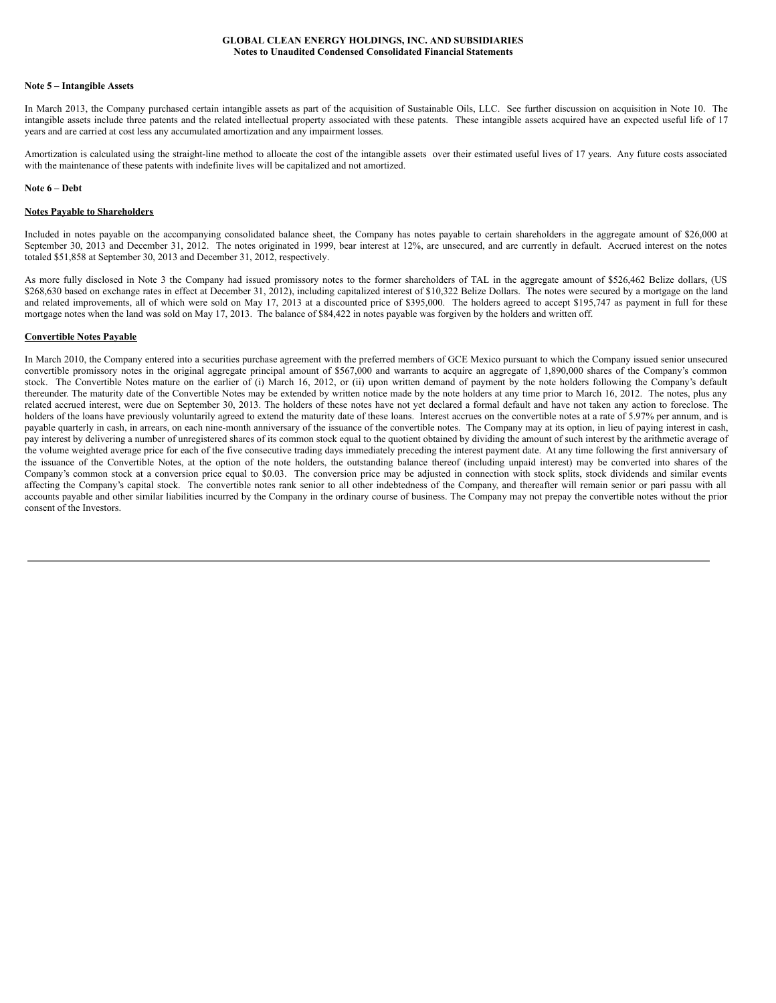#### **Note 5 – Intangible Assets**

In March 2013, the Company purchased certain intangible assets as part of the acquisition of Sustainable Oils, LLC. See further discussion on acquisition in Note 10. The intangible assets include three patents and the related intellectual property associated with these patents. These intangible assets acquired have an expected useful life of 17 years and are carried at cost less any accumulated amortization and any impairment losses.

Amortization is calculated using the straight-line method to allocate the cost of the intangible assets over their estimated useful lives of 17 years. Any future costs associated with the maintenance of these patents with indefinite lives will be capitalized and not amortized.

#### **Note 6 – Debt**

#### **Notes Payable to Shareholders**

Included in notes payable on the accompanying consolidated balance sheet, the Company has notes payable to certain shareholders in the aggregate amount of \$26,000 at September 30, 2013 and December 31, 2012. The notes originated in 1999, bear interest at 12%, are unsecured, and are currently in default. Accrued interest on the notes totaled \$51,858 at September 30, 2013 and December 31, 2012, respectively.

As more fully disclosed in Note 3 the Company had issued promissory notes to the former shareholders of TAL in the aggregate amount of \$526,462 Belize dollars, (US \$268,630 based on exchange rates in effect at December 31, 2012), including capitalized interest of \$10,322 Belize Dollars. The notes were secured by a mortgage on the land and related improvements, all of which were sold on May 17, 2013 at a discounted price of \$395,000. The holders agreed to accept \$195,747 as payment in full for these mortgage notes when the land was sold on May 17, 2013. The balance of \$84,422 in notes payable was forgiven by the holders and written off.

#### **Convertible Notes Payable**

In March 2010, the Company entered into a securities purchase agreement with the preferred members of GCE Mexico pursuant to which the Company issued senior unsecured convertible promissory notes in the original aggregate principal amount of \$567,000 and warrants to acquire an aggregate of 1,890,000 shares of the Company's common stock. The Convertible Notes mature on the earlier of (i) March 16, 2012, or (ii) upon written demand of payment by the note holders following the Company's default thereunder. The maturity date of the Convertible Notes may be extended by written notice made by the note holders at any time prior to March 16, 2012. The notes, plus any related accrued interest, were due on September 30, 2013. The holders of these notes have not yet declared a formal default and have not taken any action to foreclose. The holders of the loans have previously voluntarily agreed to extend the maturity date of these loans. Interest accrues on the convertible notes at a rate of 5.97% per annum, and is payable quarterly in cash, in arrears, on each nine-month anniversary of the issuance of the convertible notes. The Company may at its option, in lieu of paying interest in cash, pay interest by delivering a number of unregistered shares of its common stock equal to the quotient obtained by dividing the amount of such interest by the arithmetic average of the volume weighted average price for each of the five consecutive trading days immediately preceding the interest payment date. At any time following the first anniversary of the issuance of the Convertible Notes, at the option of the note holders, the outstanding balance thereof (including unpaid interest) may be converted into shares of the Company's common stock at a conversion price equal to \$0.03. The conversion price may be adjusted in connection with stock splits, stock dividends and similar events affecting the Company's capital stock. The convertible notes rank senior to all other indebtedness of the Company, and thereafter will remain senior or pari passu with all accounts payable and other similar liabilities incurred by the Company in the ordinary course of business. The Company may not prepay the convertible notes without the prior consent of the Investors.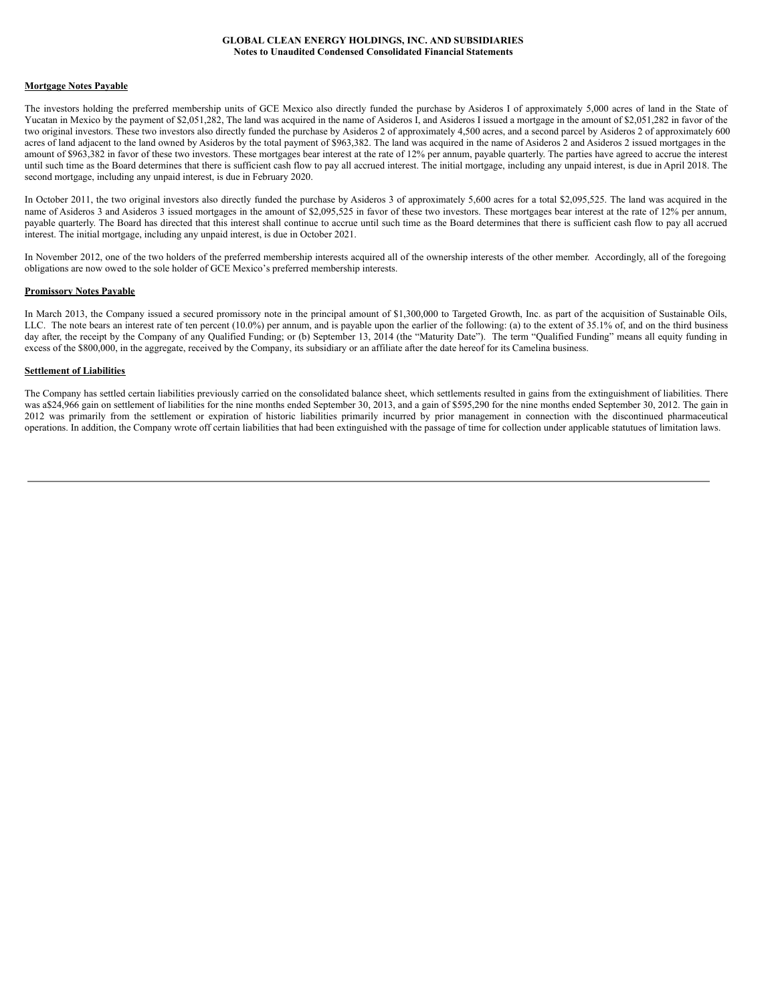### **Mortgage Notes Payable**

The investors holding the preferred membership units of GCE Mexico also directly funded the purchase by Asideros I of approximately 5,000 acres of land in the State of Yucatan in Mexico by the payment of \$2,051,282, The land was acquired in the name of Asideros I, and Asideros I issued a mortgage in the amount of \$2,051,282 in favor of the two original investors. These two investors also directly funded the purchase by Asideros 2 of approximately 4,500 acres, and a second parcel by Asideros 2 of approximately 600 acres of land adjacent to the land owned by Asideros by the total payment of \$963,382. The land was acquired in the name of Asideros 2 and Asideros 2 issued mortgages in the amount of \$963,382 in favor of these two investors. These mortgages bear interest at the rate of 12% per annum, payable quarterly. The parties have agreed to accrue the interest until such time as the Board determines that there is sufficient cash flow to pay all accrued interest. The initial mortgage, including any unpaid interest, is due in April 2018. The second mortgage, including any unpaid interest, is due in February 2020.

In October 2011, the two original investors also directly funded the purchase by Asideros 3 of approximately 5,600 acres for a total \$2,095,525. The land was acquired in the name of Asideros 3 and Asideros 3 issued mortgages in the amount of \$2,095,525 in favor of these two investors. These mortgages bear interest at the rate of 12% per annum, payable quarterly. The Board has directed that this interest shall continue to accrue until such time as the Board determines that there is sufficient cash flow to pay all accrued interest. The initial mortgage, including any unpaid interest, is due in October 2021.

In November 2012, one of the two holders of the preferred membership interests acquired all of the ownership interests of the other member. Accordingly, all of the foregoing obligations are now owed to the sole holder of GCE Mexico's preferred membership interests.

#### **Promissory Notes Payable**

In March 2013, the Company issued a secured promissory note in the principal amount of \$1,300,000 to Targeted Growth, Inc. as part of the acquisition of Sustainable Oils, LLC. The note bears an interest rate of ten percent (10.0%) per annum, and is payable upon the earlier of the following: (a) to the extent of 35.1% of, and on the third business day after, the receipt by the Company of any Qualified Funding; or (b) September 13, 2014 (the "Maturity Date"). The term "Qualified Funding" means all equity funding in excess of the \$800,000, in the aggregate, received by the Company, its subsidiary or an affiliate after the date hereof for its Camelina business.

#### **Settlement of Liabilities**

The Company has settled certain liabilities previously carried on the consolidated balance sheet, which settlements resulted in gains from the extinguishment of liabilities. There was a\$24,966 gain on settlement of liabilities for the nine months ended September 30, 2013, and a gain of \$595,290 for the nine months ended September 30, 2012. The gain in 2012 was primarily from the settlement or expiration of historic liabilities primarily incurred by prior management in connection with the discontinued pharmaceutical operations. In addition, the Company wrote off certain liabilities that had been extinguished with the passage of time for collection under applicable statutues of limitation laws.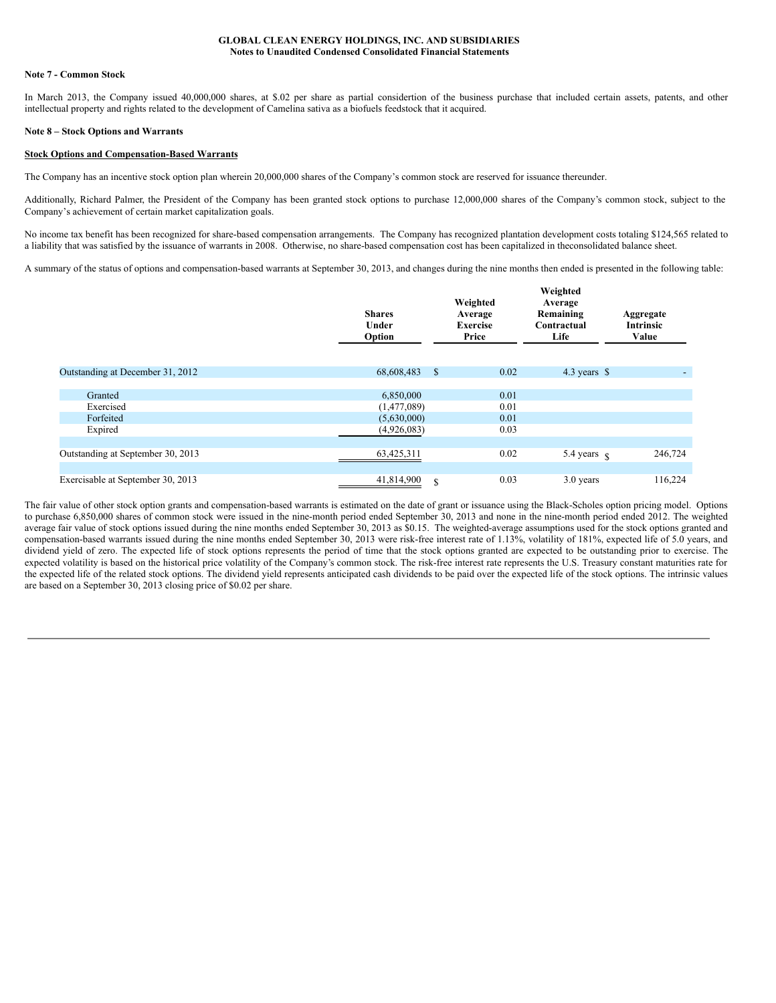#### **Note 7 - Common Stock**

In March 2013, the Company issued 40,000,000 shares, at \$.02 per share as partial considertion of the business purchase that included certain assets, patents, and other intellectual property and rights related to the development of Camelina sativa as a biofuels feedstock that it acquired.

### **Note 8 – Stock Options and Warrants**

### **Stock Options and Compensation-Based Warrants**

The Company has an incentive stock option plan wherein 20,000,000 shares of the Company's common stock are reserved for issuance thereunder.

Additionally, Richard Palmer, the President of the Company has been granted stock options to purchase 12,000,000 shares of the Company's common stock, subject to the Company's achievement of certain market capitalization goals.

No income tax benefit has been recognized for share-based compensation arrangements. The Company has recognized plantation development costs totaling \$124,565 related to a liability that was satisfied by the issuance of warrants in 2008. Otherwise, no share-based compensation cost has been capitalized in theconsolidated balance sheet.

A summary of the status of options and compensation-based warrants at September 30, 2013, and changes during the nine months then ended is presented in the following table:

|                                   | <b>Shares</b><br>Under<br>Option | Weighted<br>Average<br><b>Exercise</b><br>Price | Weighted<br>Average<br>Remaining<br>Contractual<br>Life | Aggregate<br><b>Intrinsic</b><br>Value |
|-----------------------------------|----------------------------------|-------------------------------------------------|---------------------------------------------------------|----------------------------------------|
| Outstanding at December 31, 2012  | 68,608,483                       | 0.02<br>- \$                                    | 4.3 years $\$$                                          |                                        |
| Granted                           | 6,850,000                        | 0.01                                            |                                                         |                                        |
| Exercised                         | (1,477,089)                      | 0.01                                            |                                                         |                                        |
| Forfeited                         | (5,630,000)                      | 0.01                                            |                                                         |                                        |
| Expired                           | (4,926,083)                      | 0.03                                            |                                                         |                                        |
|                                   |                                  |                                                 |                                                         |                                        |
| Outstanding at September 30, 2013 | 63,425,311                       | 0.02                                            | 5.4 years $\sqrt{ }$                                    | 246,724                                |
|                                   |                                  |                                                 |                                                         |                                        |
| Exercisable at September 30, 2013 | 41,814,900                       | 0.03<br><sup>\$</sup>                           | 3.0 years                                               | 116,224                                |

The fair value of other stock option grants and compensation-based warrants is estimated on the date of grant or issuance using the Black-Scholes option pricing model. Options to purchase 6,850,000 shares of common stock were issued in the nine-month period ended September 30, 2013 and none in the nine-month period ended 2012. The weighted average fair value of stock options issued during the nine months ended September 30, 2013 as \$0.15. The weighted-average assumptions used for the stock options granted and compensation-based warrants issued during the nine months ended September 30, 2013 were risk-free interest rate of 1.13%, volatility of 181%, expected life of 5.0 years, and dividend yield of zero. The expected life of stock options represents the period of time that the stock options granted are expected to be outstanding prior to exercise. The expected volatility is based on the historical price volatility of the Company's common stock. The risk-free interest rate represents the U.S. Treasury constant maturities rate for the expected life of the related stock options. The dividend yield represents anticipated cash dividends to be paid over the expected life of the stock options. The intrinsic values are based on a September 30, 2013 closing price of \$0.02 per share.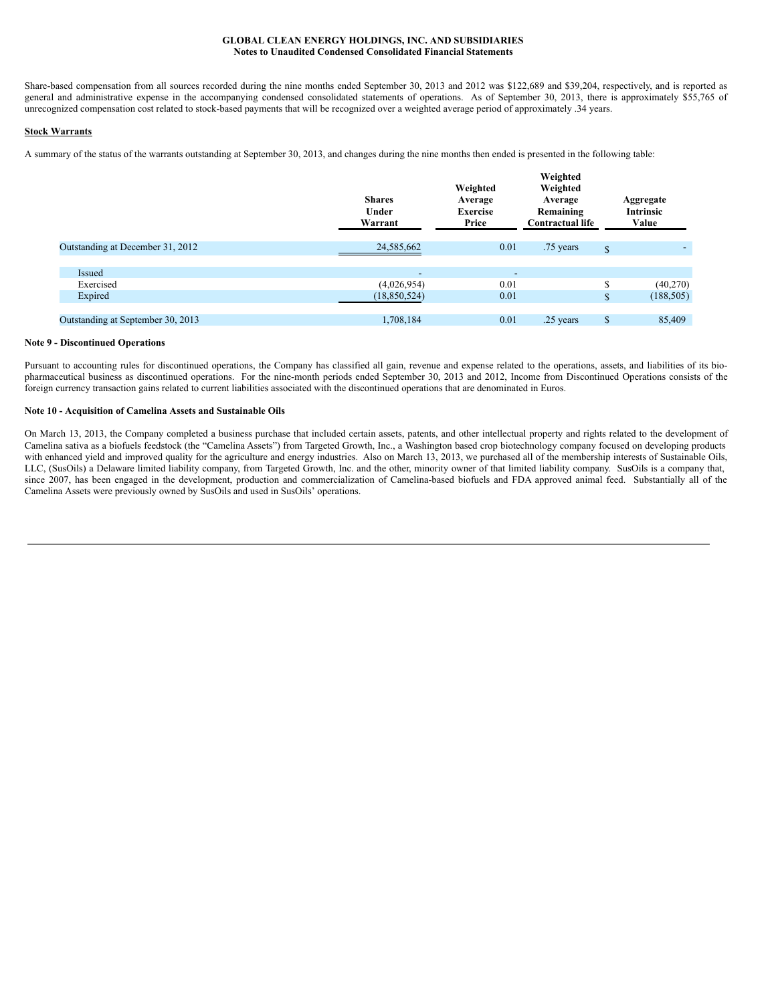Share-based compensation from all sources recorded during the nine months ended September 30, 2013 and 2012 was \$122,689 and \$39,204, respectively, and is reported as general and administrative expense in the accompanying condensed consolidated statements of operations. As of September 30, 2013, there is approximately \$55,765 of unrecognized compensation cost related to stock-based payments that will be recognized over a weighted average period of approximately .34 years.

## **Stock Warrants**

A summary of the status of the warrants outstanding at September 30, 2013, and changes during the nine months then ended is presented in the following table:

|                                   | <b>Shares</b><br>Under<br>Warrant | Weighted<br>Average<br><b>Exercise</b><br>Price | Weighted<br>Weighted<br>Average<br>Remaining<br><b>Contractual life</b> |              | Aggregate<br>Intrinsic<br>Value |
|-----------------------------------|-----------------------------------|-------------------------------------------------|-------------------------------------------------------------------------|--------------|---------------------------------|
| Outstanding at December 31, 2012  | 24,585,662                        | 0.01                                            | .75 years                                                               | $\mathbb{S}$ |                                 |
|                                   |                                   |                                                 |                                                                         |              |                                 |
| Issued                            | -                                 |                                                 |                                                                         |              |                                 |
| Exercised                         | (4,026,954)                       | 0.01                                            |                                                                         | \$.          | (40,270)                        |
| Expired                           | (18, 850, 524)                    | 0.01                                            |                                                                         | \$           | (188, 505)                      |
|                                   |                                   |                                                 |                                                                         |              |                                 |
| Outstanding at September 30, 2013 | 1,708,184                         | 0.01                                            | .25 years                                                               | \$           | 85,409                          |
|                                   |                                   |                                                 |                                                                         |              |                                 |

### **Note 9 - Discontinued Operations**

Pursuant to accounting rules for discontinued operations, the Company has classified all gain, revenue and expense related to the operations, assets, and liabilities of its biopharmaceutical business as discontinued operations. For the nine-month periods ended September 30, 2013 and 2012, Income from Discontinued Operations consists of the foreign currency transaction gains related to current liabilities associated with the discontinued operations that are denominated in Euros.

### **Note 10 - Acquisition of Camelina Assets and Sustainable Oils**

On March 13, 2013, the Company completed a business purchase that included certain assets, patents, and other intellectual property and rights related to the development of Camelina sativa as a biofuels feedstock (the "Camelina Assets") from Targeted Growth, Inc., a Washington based crop biotechnology company focused on developing products with enhanced yield and improved quality for the agriculture and energy industries. Also on March 13, 2013, we purchased all of the membership interests of Sustainable Oils, LLC, (SusOils) a Delaware limited liability company, from Targeted Growth, Inc. and the other, minority owner of that limited liability company. SusOils is a company that, since 2007, has been engaged in the development, production and commercialization of Camelina-based biofuels and FDA approved animal feed. Substantially all of the Camelina Assets were previously owned by SusOils and used in SusOils' operations.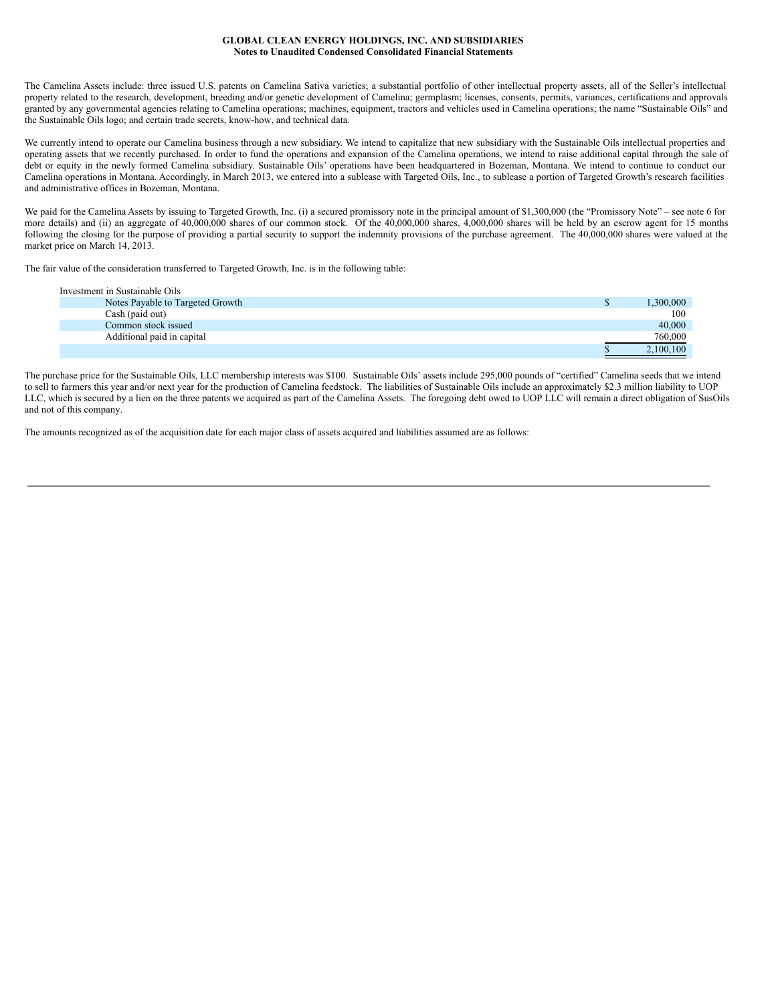The Camelina Assets include: three issued U.S. patents on Camelina Sativa varieties; a substantial portfolio of other intellectual property assets, all of the Seller's intellectual property related to the research, development, breeding and/or genetic development of Camelina; germplasm; licenses, consents, permits, variances, certifications and approvals granted by any governmental agencies relating to Camelina operations; machines, equipment, tractors and vehicles used in Camelina operations; the name "Sustainable Oils" and the Sustainable Oils logo; and certain trade secrets, know-how, and technical data.

We currently intend to operate our Camelina business through a new subsidiary. We intend to capitalize that new subsidiary with the Sustainable Oils intellectual properties and operating assets that we recently purchased. In order to fund the operations and expansion of the Camelina operations, we intend to raise additional capital through the sale of debt or equity in the newly formed Camelina subsidiary. Sustainable Oils' operations have been headquartered in Bozeman, Montana. We intend to continue to conduct our Camelina operations in Montana. Accordingly, in March 2013, we entered into a sublease with Targeted Oils, Inc., to sublease a portion of Targeted Growth's research facilities and administrative offices in Bozeman, Montana.

We paid for the Camelina Assets by issuing to Targeted Growth, Inc. (i) a secured promissory note in the principal amount of \$1,300,000 (the "Promissory Note" – see note 6 for more details) and (ii) an aggregate of 40,000,000 shares of our common stock. Of the 40,000,000 shares, 4,000,000 shares will be held by an escrow agent for 15 months following the closing for the purpose of providing a partial security to support the indemnity provisions of the purchase agreement. The 40,000,000 shares were valued at the market price on March 14, 2013.

The fair value of the consideration transferred to Targeted Growth, Inc. is in the following table:

| Investment in Sustainable Oils   |           |
|----------------------------------|-----------|
| Notes Payable to Targeted Growth | 1,300,000 |
| Cash (paid out)                  | 100       |
| Common stock issued              | 40,000    |
| Additional paid in capital       | 760,000   |
|                                  | 2.100.100 |

The purchase price for the Sustainable Oils, LLC membership interests was \$100. Sustainable Oils' assets include 295,000 pounds of "certified" Camelina seeds that we intend to sell to farmers this year and/or next year for the production of Camelina feedstock. The liabilities of Sustainable Oils include an approximately \$2.3 million liability to UOP LLC, which is secured by a lien on the three patents we acquired as part of the Camelina Assets. The foregoing debt owed to UOP LLC will remain a direct obligation of SusOils and not of this company.

The amounts recognized as of the acquisition date for each major class of assets acquired and liabilities assumed are as follows: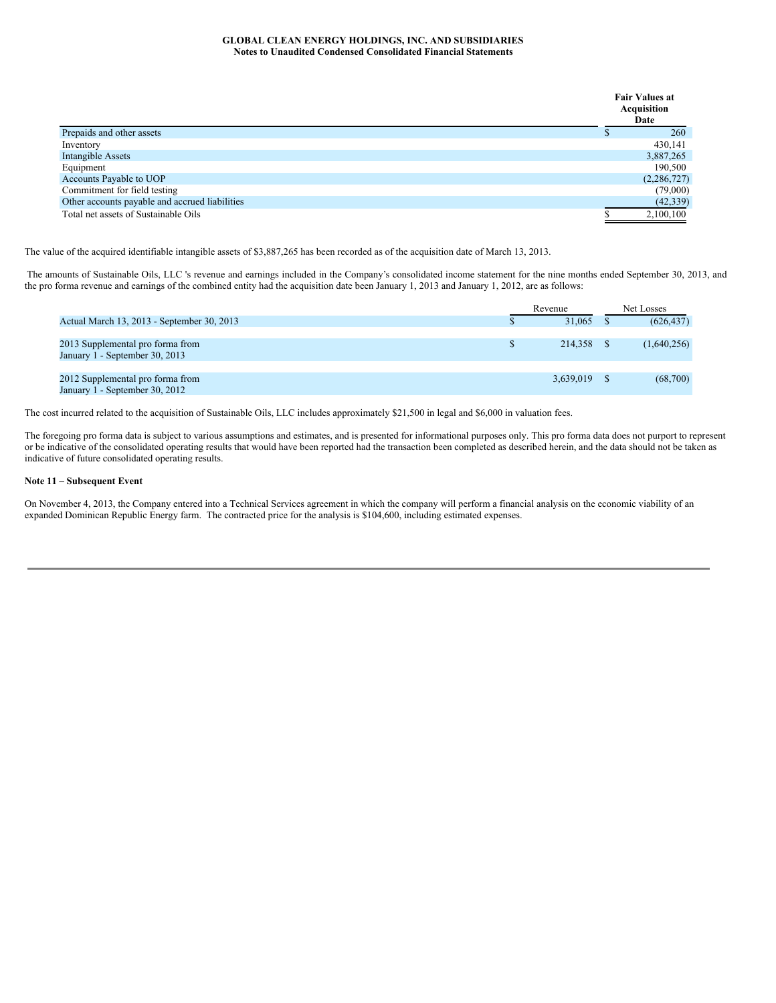|                                                | <b>Fair Values at</b><br>Acquisition<br>Date |
|------------------------------------------------|----------------------------------------------|
| Prepaids and other assets                      | 260                                          |
| Inventory                                      | 430,141                                      |
| Intangible Assets                              | 3,887,265                                    |
| Equipment                                      | 190,500                                      |
| Accounts Payable to UOP                        | (2,286,727)                                  |
| Commitment for field testing                   | (79,000)                                     |
| Other accounts payable and accrued liabilities | (42, 339)                                    |
| Total net assets of Sustainable Oils           | 2,100,100                                    |

The value of the acquired identifiable intangible assets of \$3,887,265 has been recorded as of the acquisition date of March 13, 2013.

The amounts of Sustainable Oils, LLC 's revenue and earnings included in the Company's consolidated income statement for the nine months ended September 30, 2013, and the pro forma revenue and earnings of the combined entity had the acquisition date been January 1, 2013 and January 1, 2012, are as follows:

|                                                                    | Revenue    | Net Losses  |
|--------------------------------------------------------------------|------------|-------------|
| Actual March 13, 2013 - September 30, 2013                         | 31,065     | (626, 437)  |
|                                                                    |            |             |
| 2013 Supplemental pro forma from                                   | 214.358 \$ | (1,640,256) |
| January 1 - September 30, 2013                                     |            |             |
|                                                                    |            |             |
| 2012 Supplemental pro forma from<br>January 1 - September 30, 2012 | 3,639,019  | (68,700)    |

The cost incurred related to the acquisition of Sustainable Oils, LLC includes approximately \$21,500 in legal and \$6,000 in valuation fees.

The foregoing pro forma data is subject to various assumptions and estimates, and is presented for informational purposes only. This pro forma data does not purport to represent or be indicative of the consolidated operating results that would have been reported had the transaction been completed as described herein, and the data should not be taken as indicative of future consolidated operating results.

### **Note 11 – Subsequent Event**

On November 4, 2013, the Company entered into a Technical Services agreement in which the company will perform a financial analysis on the economic viability of an expanded Dominican Republic Energy farm. The contracted price for the analysis is \$104,600, including estimated expenses.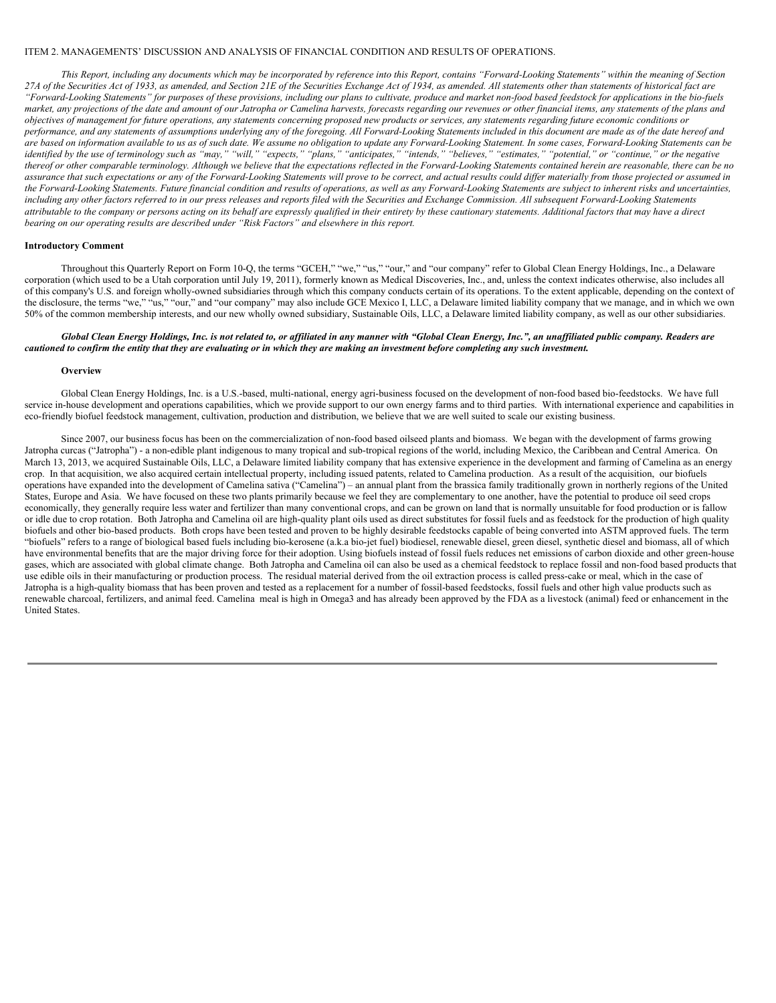#### ITEM 2. MANAGEMENTS' DISCUSSION AND ANALYSIS OF FINANCIAL CONDITION AND RESULTS OF OPERATIONS.

This Report, including any documents which may be incorporated by reference into this Report, contains "Forward-Looking Statements" within the meaning of Section 27A of the Securities Act of 1933, as amended, and Section 21E of the Securities Exchange Act of 1934, as amended. All statements other than statements of historical fact are "Forward-Looking Statements" for purposes of these provisions, including our plans to cultivate, produce and market non-food based feedstock for applications in the bio-fuels market, any projections of the date and amount of our Jatropha or Camelina harvests, forecasts regarding our revenues or other financial items, any statements of the plans and objectives of management for future operations, any statements concerning proposed new products or services, any statements regarding future economic conditions or performance, and any statements of assumptions underlying any of the foregoing. All Forward-Looking Statements included in this document are made as of the date hereof and are based on information available to us as of such date. We assume no obligation to update any Forward-Looking Statement. In some cases, Forward-Looking Statements can be identified by the use of terminology such as "may," "will," "expects," "plans," "anticipates," "intends," "believes," "estimates," "potential," or "continue," or the negative thereof or other comparable terminology. Although we believe that the expectations reflected in the Forward-Looking Statements contained herein are reasonable, there can be no assurance that such expectations or any of the Forward-Looking Statements will prove to be correct, and actual results could differ materially from those projected or assumed in the Forward-Looking Statements. Future financial condition and results of operations, as well as any Forward-Looking Statements are subject to inherent risks and uncertainties, including any other factors referred to in our press releases and reports filed with the Securities and Exchange Commission. All subsequent Forward-Looking Statements attributable to the company or persons acting on its behalf are expressly qualified in their entirety by these cautionary statements. Additional factors that may have a direct *bearing on our operating results are described under "Risk Factors" and elsewhere in this report.*

#### **Introductory Comment**

Throughout this Quarterly Report on Form 10-Q, the terms "GCEH," "we," "us," "our," and "our company" refer to Global Clean Energy Holdings, Inc., a Delaware corporation (which used to be a Utah corporation until July 19, 2011), formerly known as Medical Discoveries, Inc., and, unless the context indicates otherwise, also includes all of this company's U.S. and foreign wholly-owned subsidiaries through which this company conducts certain of its operations. To the extent applicable, depending on the context of the disclosure, the terms "we," "us," "our," and "our company" may also include GCE Mexico I, LLC, a Delaware limited liability company that we manage, and in which we own 50% of the common membership interests, and our new wholly owned subsidiary, Sustainable Oils, LLC, a Delaware limited liability company, as well as our other subsidiaries.

#### Global Clean Energy Holdings, Inc. is not related to, or affiliated in any manner with "Global Clean Energy, Inc.", an unaffiliated public company. Readers are cautioned to confirm the entity that they are evaluating or in which they are making an investment before completing any such investment.

#### **Overview**

Global Clean Energy Holdings, Inc. is a U.S.-based, multi-national, energy agri-business focused on the development of non-food based bio-feedstocks. We have full service in-house development and operations capabilities, which we provide support to our own energy farms and to third parties. With international experience and capabilities in eco-friendly biofuel feedstock management, cultivation, production and distribution, we believe that we are well suited to scale our existing business.

Since 2007, our business focus has been on the commercialization of non-food based oilseed plants and biomass. We began with the development of farms growing Jatropha curcas ("Jatropha") - a non-edible plant indigenous to many tropical and sub-tropical regions of the world, including Mexico, the Caribbean and Central America. On March 13, 2013, we acquired Sustainable Oils, LLC, a Delaware limited liability company that has extensive experience in the development and farming of Camelina as an energy crop. In that acquisition, we also acquired certain intellectual property, including issued patents, related to Camelina production. As a result of the acquisition, our biofuels operations have expanded into the development of Camelina sativa ("Camelina") – an annual plant from the brassica family traditionally grown in northerly regions of the United States, Europe and Asia. We have focused on these two plants primarily because we feel they are complementary to one another, have the potential to produce oil seed crops economically, they generally require less water and fertilizer than many conventional crops, and can be grown on land that is normally unsuitable for food production or is fallow or idle due to crop rotation. Both Jatropha and Camelina oil are high-quality plant oils used as direct substitutes for fossil fuels and as feedstock for the production of high quality biofuels and other bio-based products. Both crops have been tested and proven to be highly desirable feedstocks capable of being converted into ASTM approved fuels. The term "biofuels" refers to a range of biological based fuels including bio-kerosene (a.k.a bio-jet fuel) biodiesel, renewable diesel, green diesel, synthetic diesel and biomass, all of which have environmental benefits that are the major driving force for their adoption. Using biofuels instead of fossil fuels reduces net emissions of carbon dioxide and other green-house gases, which are associated with global climate change. Both Jatropha and Camelina oil can also be used as a chemical feedstock to replace fossil and non-food based products that use edible oils in their manufacturing or production process. The residual material derived from the oil extraction process is called press-cake or meal, which in the case of Jatropha is a high-quality biomass that has been proven and tested as a replacement for a number of fossil-based feedstocks, fossil fuels and other high value products such as renewable charcoal, fertilizers, and animal feed. Camelina meal is high in Omega3 and has already been approved by the FDA as a livestock (animal) feed or enhancement in the United States.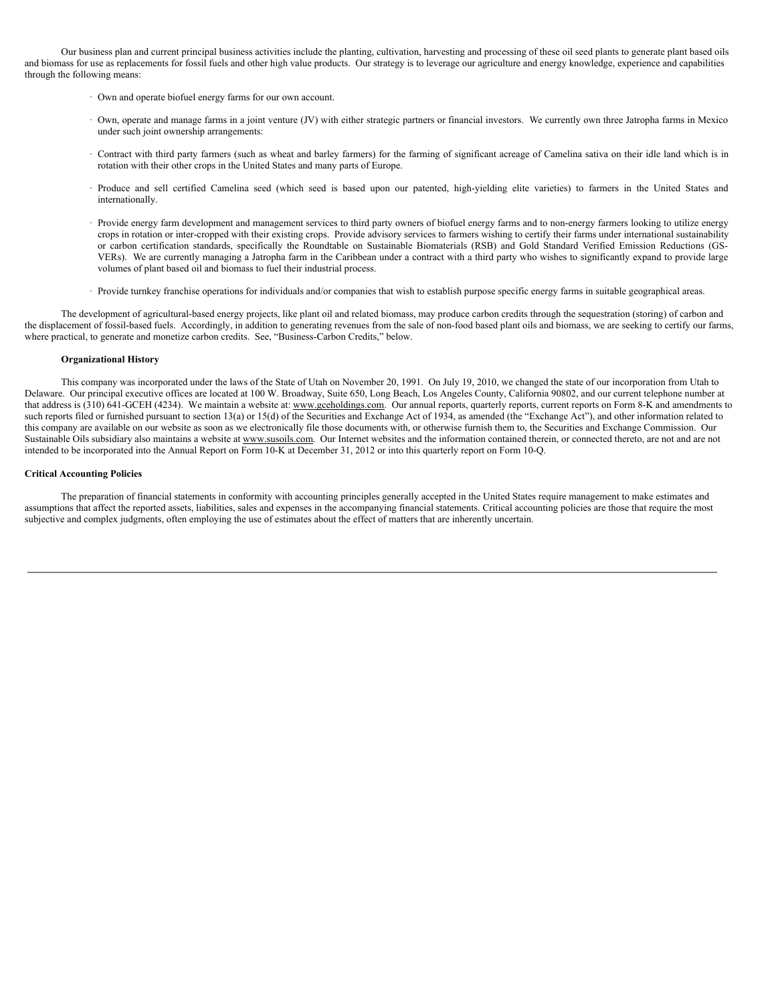Our business plan and current principal business activities include the planting, cultivation, harvesting and processing of these oil seed plants to generate plant based oils and biomass for use as replacements for fossil fuels and other high value products. Our strategy is to leverage our agriculture and energy knowledge, experience and capabilities through the following means:

- · Own and operate biofuel energy farms for our own account.
- · Own, operate and manage farms in a joint venture (JV) with either strategic partners or financial investors. We currently own three Jatropha farms in Mexico under such joint ownership arrangements:
- · Contract with third party farmers (such as wheat and barley farmers) for the farming of significant acreage of Camelina sativa on their idle land which is in rotation with their other crops in the United States and many parts of Europe.
- · Produce and sell certified Camelina seed (which seed is based upon our patented, high-yielding elite varieties) to farmers in the United States and internationally.
- · Provide energy farm development and management services to third party owners of biofuel energy farms and to non-energy farmers looking to utilize energy crops in rotation or inter-cropped with their existing crops. Provide advisory services to farmers wishing to certify their farms under international sustainability or carbon certification standards, specifically the Roundtable on Sustainable Biomaterials (RSB) and Gold Standard Verified Emission Reductions (GS-VERs). We are currently managing a Jatropha farm in the Caribbean under a contract with a third party who wishes to significantly expand to provide large volumes of plant based oil and biomass to fuel their industrial process.
- · Provide turnkey franchise operations for individuals and/or companies that wish to establish purpose specific energy farms in suitable geographical areas.

The development of agricultural-based energy projects, like plant oil and related biomass, may produce carbon credits through the sequestration (storing) of carbon and the displacement of fossil-based fuels. Accordingly, in addition to generating revenues from the sale of non-food based plant oils and biomass, we are seeking to certify our farms, where practical, to generate and monetize carbon credits. See, "Business-Carbon Credits," below.

#### **Organizational History**

This company was incorporated under the laws of the State of Utah on November 20, 1991. On July 19, 2010, we changed the state of our incorporation from Utah to Delaware. Our principal executive offices are located at 100 W. Broadway, Suite 650, Long Beach, Los Angeles County, California 90802, and our current telephone number at that address is (310) 641-GCEH (4234). We maintain a website at: www.gceholdings.com. Our annual reports, quarterly reports, current reports on Form 8-K and amendments to such reports filed or furnished pursuant to section 13(a) or 15(d) of the Securities and Exchange Act of 1934, as amended (the "Exchange Act"), and other information related to this company are available on our website as soon as we electronically file those documents with, or otherwise furnish them to, the Securities and Exchange Commission. Our Sustainable Oils subsidiary also maintains a website at www.susoils.com. Our Internet websites and the information contained therein, or connected thereto, are not and are not intended to be incorporated into the Annual Report on Form 10-K at December 31, 2012 or into this quarterly report on Form 10-Q.

#### **Critical Accounting Policies**

The preparation of financial statements in conformity with accounting principles generally accepted in the United States require management to make estimates and assumptions that affect the reported assets, liabilities, sales and expenses in the accompanying financial statements. Critical accounting policies are those that require the most subjective and complex judgments, often employing the use of estimates about the effect of matters that are inherently uncertain.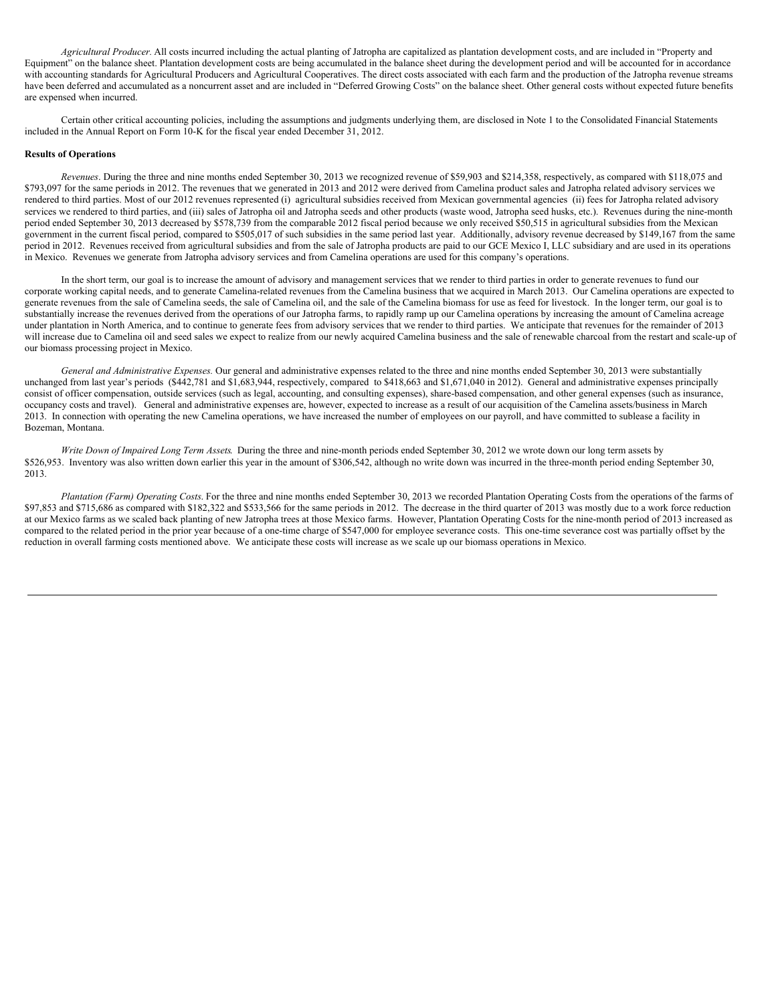*Agricultural Producer.* All costs incurred including the actual planting of Jatropha are capitalized as plantation development costs, and are included in "Property and Equipment" on the balance sheet. Plantation development costs are being accumulated in the balance sheet during the development period and will be accounted for in accordance with accounting standards for Agricultural Producers and Agricultural Cooperatives. The direct costs associated with each farm and the production of the Jatropha revenue streams have been deferred and accumulated as a noncurrent asset and are included in "Deferred Growing Costs" on the balance sheet. Other general costs without expected future benefits are expensed when incurred.

Certain other critical accounting policies, including the assumptions and judgments underlying them, are disclosed in Note 1 to the Consolidated Financial Statements included in the Annual Report on Form 10-K for the fiscal year ended December 31, 2012.

### **Results of Operations**

*Revenues*. During the three and nine months ended September 30, 2013 we recognized revenue of \$59,903 and \$214,358, respectively, as compared with \$118,075 and \$793,097 for the same periods in 2012. The revenues that we generated in 2013 and 2012 were derived from Camelina product sales and Jatropha related advisory services we rendered to third parties. Most of our 2012 revenues represented (i) agricultural subsidies received from Mexican governmental agencies (ii) fees for Jatropha related advisory services we rendered to third parties, and (iii) sales of Jatropha oil and Jatropha seeds and other products (waste wood, Jatropha seed husks, etc.). Revenues during the nine-month period ended September 30, 2013 decreased by \$578,739 from the comparable 2012 fiscal period because we only received \$50,515 in agricultural subsidies from the Mexican government in the current fiscal period, compared to \$505,017 of such subsidies in the same period last year. Additionally, advisory revenue decreased by \$149,167 from the same period in 2012. Revenues received from agricultural subsidies and from the sale of Jatropha products are paid to our GCE Mexico I, LLC subsidiary and are used in its operations in Mexico. Revenues we generate from Jatropha advisory services and from Camelina operations are used for this company's operations.

In the short term, our goal is to increase the amount of advisory and management services that we render to third parties in order to generate revenues to fund our corporate working capital needs, and to generate Camelina-related revenues from the Camelina business that we acquired in March 2013. Our Camelina operations are expected to generate revenues from the sale of Camelina seeds, the sale of Camelina oil, and the sale of the Camelina biomass for use as feed for livestock. In the longer term, our goal is to substantially increase the revenues derived from the operations of our Jatropha farms, to rapidly ramp up our Camelina operations by increasing the amount of Camelina acreage under plantation in North America, and to continue to generate fees from advisory services that we render to third parties. We anticipate that revenues for the remainder of 2013 will increase due to Camelina oil and seed sales we expect to realize from our newly acquired Camelina business and the sale of renewable charcoal from the restart and scale-up of our biomass processing project in Mexico.

*General and Administrative Expenses.* Our general and administrative expenses related to the three and nine months ended September 30, 2013 were substantially unchanged from last year's periods (\$442,781 and \$1,683,944, respectively, compared to \$418,663 and \$1,671,040 in 2012). General and administrative expenses principally consist of officer compensation, outside services (such as legal, accounting, and consulting expenses), share-based compensation, and other general expenses (such as insurance, occupancy costs and travel). General and administrative expenses are, however, expected to increase as a result of our acquisition of the Camelina assets/business in March 2013. In connection with operating the new Camelina operations, we have increased the number of employees on our payroll, and have committed to sublease a facility in Bozeman, Montana.

*Write Down of Impaired Long Term Assets*. During the three and nine-month periods ended September 30, 2012 we wrote down our long term assets by \$526,953. Inventory was also written down earlier this year in the amount of \$306,542, although no write down was incurred in the three-month period ending September 30, 2013.

*Plantation (Farm) Operating Costs*. For the three and nine months ended September 30, 2013 we recorded Plantation Operating Costs from the operations of the farms of \$97,853 and \$715,686 as compared with \$182,322 and \$533,566 for the same periods in 2012. The decrease in the third quarter of 2013 was mostly due to a work force reduction at our Mexico farms as we scaled back planting of new Jatropha trees at those Mexico farms. However, Plantation Operating Costs for the nine-month period of 2013 increased as compared to the related period in the prior year because of a one-time charge of \$547,000 for employee severance costs. This one-time severance cost was partially offset by the reduction in overall farming costs mentioned above. We anticipate these costs will increase as we scale up our biomass operations in Mexico.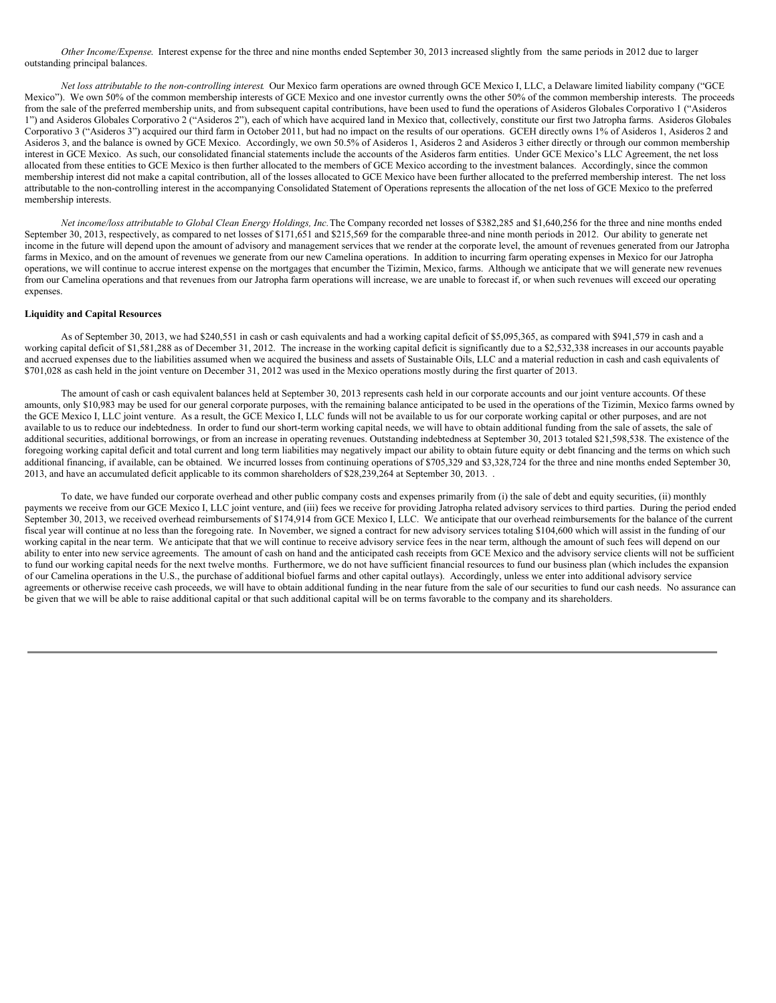*Other Income/Expense*. Interest expense for the three and nine months ended September 30, 2013 increased slightly from the same periods in 2012 due to larger outstanding principal balances.

*Net loss attributable to the non-controlling interest*. Our Mexico farm operations are owned through GCE Mexico I, LLC, a Delaware limited liability company ("GCE Mexico"). We own 50% of the common membership interests of GCE Mexico and one investor currently owns the other 50% of the common membership interests. The proceeds from the sale of the preferred membership units, and from subsequent capital contributions, have been used to fund the operations of Asideros Globales Corporativo 1 ("Asideros") 1") and Asideros Globales Corporativo 2 ("Asideros 2"), each of which have acquired land in Mexico that, collectively, constitute our first two Jatropha farms. Asideros Globales Corporativo 3 ("Asideros 3") acquired our third farm in October 2011, but had no impact on the results of our operations. GCEH directly owns 1% of Asideros 1, Asideros 2 and Asideros 3, and the balance is owned by GCE Mexico. Accordingly, we own 50.5% of Asideros 1, Asideros 2 and Asideros 3 either directly or through our common membership interest in GCE Mexico. As such, our consolidated financial statements include the accounts of the Asideros farm entities. Under GCE Mexico's LLC Agreement, the net loss allocated from these entities to GCE Mexico is then further allocated to the members of GCE Mexico according to the investment balances. Accordingly, since the common membership interest did not make a capital contribution, all of the losses allocated to GCE Mexico have been further allocated to the preferred membership interest. The net loss attributable to the non-controlling interest in the accompanying Consolidated Statement of Operations represents the allocation of the net loss of GCE Mexico to the preferred membership interests.

*Net income/loss attributable to Global Clean Energy Holdings, Inc.*The Company recorded net losses of \$382,285 and \$1,640,256 for the three and nine months ended September 30, 2013, respectively, as compared to net losses of \$171,651 and \$215,569 for the comparable three-and nine month periods in 2012. Our ability to generate net income in the future will depend upon the amount of advisory and management services that we render at the corporate level, the amount of revenues generated from our Jatropha farms in Mexico, and on the amount of revenues we generate from our new Camelina operations. In addition to incurring farm operating expenses in Mexico for our Jatropha operations, we will continue to accrue interest expense on the mortgages that encumber the Tizimin, Mexico, farms. Although we anticipate that we will generate new revenues from our Camelina operations and that revenues from our Jatropha farm operations will increase, we are unable to forecast if, or when such revenues will exceed our operating expenses.

### **Liquidity and Capital Resources**

As of September 30, 2013, we had \$240,551 in cash or cash equivalents and had a working capital deficit of \$5,095,365, as compared with \$941,579 in cash and a working capital deficit of \$1,581,288 as of December 31, 2012. The increase in the working capital deficit is significantly due to a \$2,532,338 increases in our accounts payable and accrued expenses due to the liabilities assumed when we acquired the business and assets of Sustainable Oils, LLC and a material reduction in cash and cash equivalents of \$701,028 as cash held in the joint venture on December 31, 2012 was used in the Mexico operations mostly during the first quarter of 2013.

The amount of cash or cash equivalent balances held at September 30, 2013 represents cash held in our corporate accounts and our joint venture accounts. Of these amounts, only \$10,983 may be used for our general corporate purposes, with the remaining balance anticipated to be used in the operations of the Tizimin, Mexico farms owned by the GCE Mexico I, LLC joint venture. As a result, the GCE Mexico I, LLC funds will not be available to us for our corporate working capital or other purposes, and are not available to us to reduce our indebtedness. In order to fund our short-term working capital needs, we will have to obtain additional funding from the sale of assets, the sale of additional securities, additional borrowings, or from an increase in operating revenues. Outstanding indebtedness at September 30, 2013 totaled \$21,598,538. The existence of the foregoing working capital deficit and total current and long term liabilities may negatively impact our ability to obtain future equity or debt financing and the terms on which such additional financing, if available, can be obtained. We incurred losses from continuing operations of \$705,329 and \$3,328,724 for the three and nine months ended September 30, 2013, and have an accumulated deficit applicable to its common shareholders of \$28,239,264 at September 30, 2013. .

To date, we have funded our corporate overhead and other public company costs and expenses primarily from (i) the sale of debt and equity securities, (ii) monthly payments we receive from our GCE Mexico I, LLC joint venture, and (iii) fees we receive for providing Jatropha related advisory services to third parties. During the period ended September 30, 2013, we received overhead reimbursements of \$174,914 from GCE Mexico I, LLC. We anticipate that our overhead reimbursements for the balance of the current fiscal year will continue at no less than the foregoing rate. In November, we signed a contract for new advisory services totaling \$104,600 which will assist in the funding of our working capital in the near term. We anticipate that that we will continue to receive advisory service fees in the near term, although the amount of such fees will depend on our ability to enter into new service agreements. The amount of cash on hand and the anticipated cash receipts from GCE Mexico and the advisory service clients will not be sufficient to fund our working capital needs for the next twelve months. Furthermore, we do not have sufficient financial resources to fund our business plan (which includes the expansion of our Camelina operations in the U.S., the purchase of additional biofuel farms and other capital outlays). Accordingly, unless we enter into additional advisory service agreements or otherwise receive cash proceeds, we will have to obtain additional funding in the near future from the sale of our securities to fund our cash needs. No assurance can be given that we will be able to raise additional capital or that such additional capital will be on terms favorable to the company and its shareholders.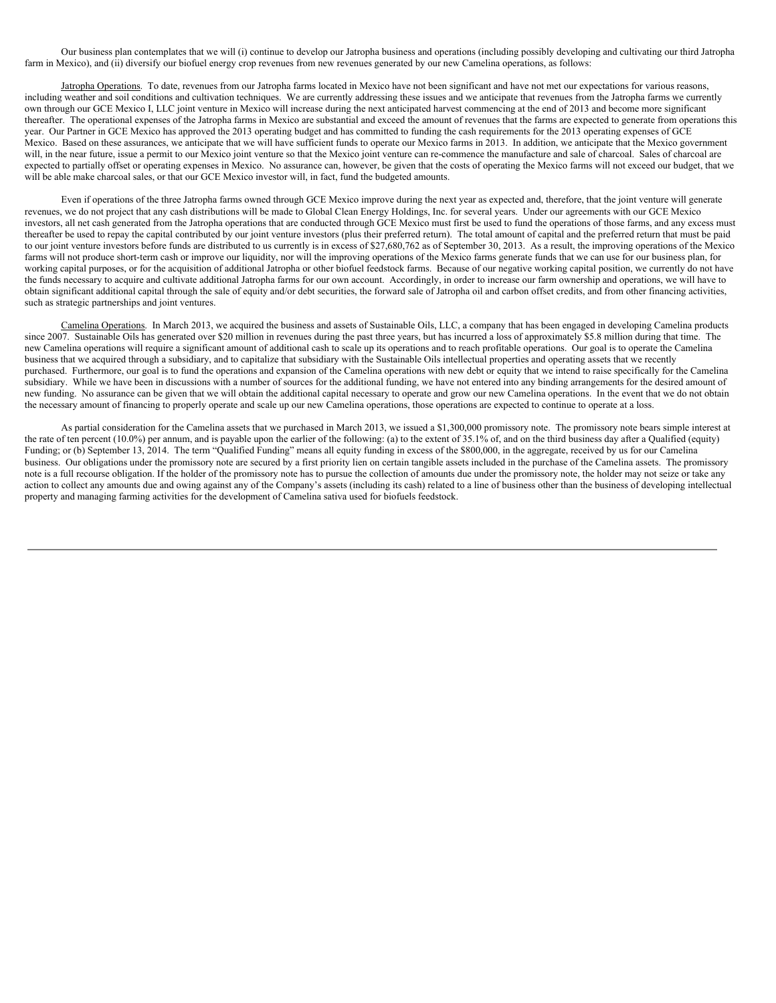Our business plan contemplates that we will (i) continue to develop our Jatropha business and operations (including possibly developing and cultivating our third Jatropha farm in Mexico), and (ii) diversify our biofuel energy crop revenues from new revenues generated by our new Camelina operations, as follows:

Jatropha Operations. To date, revenues from our Jatropha farms located in Mexico have not been significant and have not met our expectations for various reasons, including weather and soil conditions and cultivation techniques. We are currently addressing these issues and we anticipate that revenues from the Jatropha farms we currently own through our GCE Mexico I, LLC joint venture in Mexico will increase during the next anticipated harvest commencing at the end of 2013 and become more significant thereafter. The operational expenses of the Jatropha farms in Mexico are substantial and exceed the amount of revenues that the farms are expected to generate from operations this year. Our Partner in GCE Mexico has approved the 2013 operating budget and has committed to funding the cash requirements for the 2013 operating expenses of GCE Mexico. Based on these assurances, we anticipate that we will have sufficient funds to operate our Mexico farms in 2013. In addition, we anticipate that the Mexico government will, in the near future, issue a permit to our Mexico joint venture so that the Mexico joint venture can re-commence the manufacture and sale of charcoal. Sales of charcoal are expected to partially offset or operating expenses in Mexico. No assurance can, however, be given that the costs of operating the Mexico farms will not exceed our budget, that we will be able make charcoal sales, or that our GCE Mexico investor will, in fact, fund the budgeted amounts.

Even if operations of the three Jatropha farms owned through GCE Mexico improve during the next year as expected and, therefore, that the joint venture will generate revenues, we do not project that any cash distributions will be made to Global Clean Energy Holdings, Inc. for several years. Under our agreements with our GCE Mexico investors, all net cash generated from the Jatropha operations that are conducted through GCE Mexico must first be used to fund the operations of those farms, and any excess must thereafter be used to repay the capital contributed by our joint venture investors (plus their preferred return). The total amount of capital and the preferred return that must be paid to our joint venture investors before funds are distributed to us currently is in excess of \$27,680,762 as of September 30, 2013. As a result, the improving operations of the Mexico farms will not produce short-term cash or improve our liquidity, nor will the improving operations of the Mexico farms generate funds that we can use for our business plan, for working capital purposes, or for the acquisition of additional Jatropha or other biofuel feedstock farms. Because of our negative working capital position, we currently do not have the funds necessary to acquire and cultivate additional Jatropha farms for our own account. Accordingly, in order to increase our farm ownership and operations, we will have to obtain significant additional capital through the sale of equity and/or debt securities, the forward sale of Jatropha oil and carbon offset credits, and from other financing activities, such as strategic partnerships and joint ventures.

Camelina Operations. In March 2013, we acquired the business and assets of Sustainable Oils, LLC, a company that has been engaged in developing Camelina products since 2007. Sustainable Oils has generated over \$20 million in revenues during the past three years, but has incurred a loss of approximately \$5.8 million during that time. The new Camelina operations will require a significant amount of additional cash to scale up its operations and to reach profitable operations. Our goal is to operate the Camelina business that we acquired through a subsidiary, and to capitalize that subsidiary with the Sustainable Oils intellectual properties and operating assets that we recently purchased. Furthermore, our goal is to fund the operations and expansion of the Camelina operations with new debt or equity that we intend to raise specifically for the Camelina subsidiary. While we have been in discussions with a number of sources for the additional funding, we have not entered into any binding arrangements for the desired amount of new funding. No assurance can be given that we will obtain the additional capital necessary to operate and grow our new Camelina operations. In the event that we do not obtain the necessary amount of financing to properly operate and scale up our new Camelina operations, those operations are expected to continue to operate at a loss.

As partial consideration for the Camelina assets that we purchased in March 2013, we issued a \$1,300,000 promissory note. The promissory note bears simple interest at the rate of ten percent (10.0%) per annum, and is payable upon the earlier of the following: (a) to the extent of 35.1% of, and on the third business day after a Qualified (equity) Funding; or (b) September 13, 2014. The term "Qualified Funding" means all equity funding in excess of the \$800,000, in the aggregate, received by us for our Camelina business. Our obligations under the promissory note are secured by a first priority lien on certain tangible assets included in the purchase of the Camelina assets. The promissory note is a full recourse obligation. If the holder of the promissory note has to pursue the collection of amounts due under the promissory note, the holder may not seize or take any action to collect any amounts due and owing against any of the Company's assets (including its cash) related to a line of business other than the business of developing intellectual property and managing farming activities for the development of Camelina sativa used for biofuels feedstock.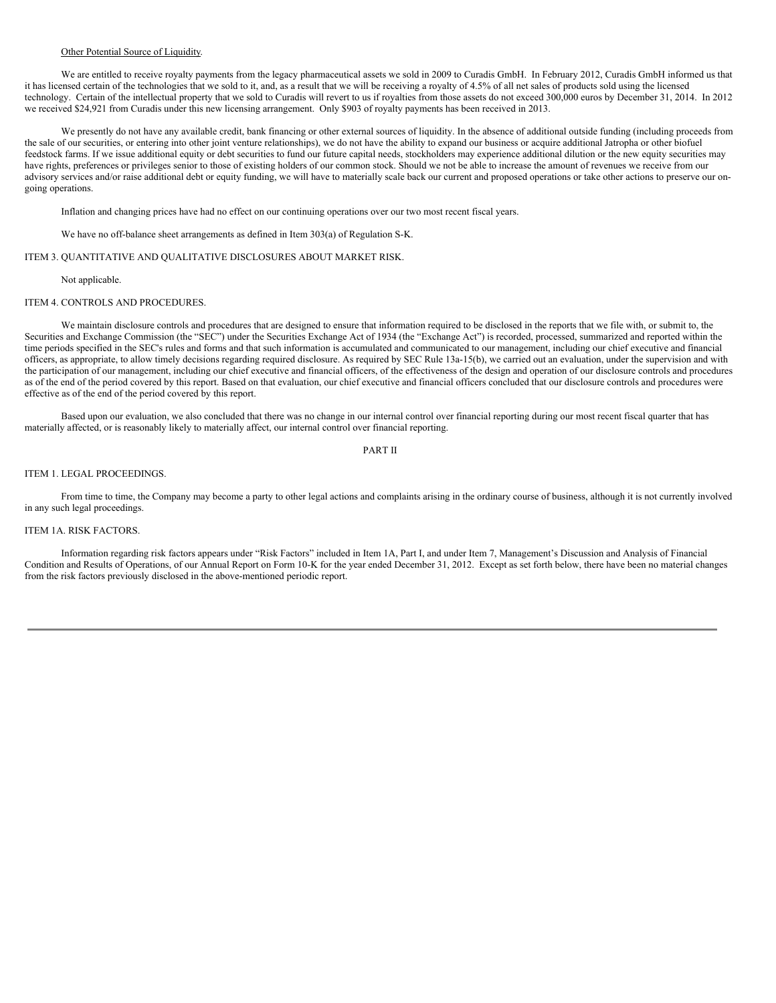#### Other Potential Source of Liquidity.

We are entitled to receive royalty payments from the legacy pharmaceutical assets we sold in 2009 to Curadis GmbH. In February 2012, Curadis GmbH informed us that it has licensed certain of the technologies that we sold to it, and, as a result that we will be receiving a royalty of 4.5% of all net sales of products sold using the licensed technology. Certain of the intellectual property that we sold to Curadis will revert to us if royalties from those assets do not exceed 300,000 euros by December 31, 2014. In 2012 we received \$24,921 from Curadis under this new licensing arrangement. Only \$903 of royalty payments has been received in 2013.

We presently do not have any available credit, bank financing or other external sources of liquidity. In the absence of additional outside funding (including proceeds from the sale of our securities, or entering into other joint venture relationships), we do not have the ability to expand our business or acquire additional Jatropha or other biofuel feedstock farms. If we issue additional equity or debt securities to fund our future capital needs, stockholders may experience additional dilution or the new equity securities may have rights, preferences or privileges senior to those of existing holders of our common stock. Should we not be able to increase the amount of revenues we receive from our advisory services and/or raise additional debt or equity funding, we will have to materially scale back our current and proposed operations or take other actions to preserve our ongoing operations.

Inflation and changing prices have had no effect on our continuing operations over our two most recent fiscal years.

We have no off-balance sheet arrangements as defined in Item 303(a) of Regulation S-K.

#### ITEM 3. QUANTITATIVE AND QUALITATIVE DISCLOSURES ABOUT MARKET RISK.

Not applicable.

#### ITEM 4. CONTROLS AND PROCEDURES.

We maintain disclosure controls and procedures that are designed to ensure that information required to be disclosed in the reports that we file with, or submit to, the Securities and Exchange Commission (the "SEC") under the Securities Exchange Act of 1934 (the "Exchange Act") is recorded, processed, summarized and reported within the time periods specified in the SEC's rules and forms and that such information is accumulated and communicated to our management, including our chief executive and financial officers, as appropriate, to allow timely decisions regarding required disclosure. As required by SEC Rule 13a-15(b), we carried out an evaluation, under the supervision and with the participation of our management, including our chief executive and financial officers, of the effectiveness of the design and operation of our disclosure controls and procedures as of the end of the period covered by this report. Based on that evaluation, our chief executive and financial officers concluded that our disclosure controls and procedures were effective as of the end of the period covered by this report.

Based upon our evaluation, we also concluded that there was no change in our internal control over financial reporting during our most recent fiscal quarter that has materially affected, or is reasonably likely to materially affect, our internal control over financial reporting.

PART II

### ITEM 1. LEGAL PROCEEDINGS.

From time to time, the Company may become a party to other legal actions and complaints arising in the ordinary course of business, although it is not currently involved in any such legal proceedings.

### ITEM 1A. RISK FACTORS.

Information regarding risk factors appears under "Risk Factors" included in Item 1A, Part I, and under Item 7, Management's Discussion and Analysis of Financial Condition and Results of Operations, of our Annual Report on Form 10-K for the year ended December 31, 2012. Except as set forth below, there have been no material changes from the risk factors previously disclosed in the above-mentioned periodic report.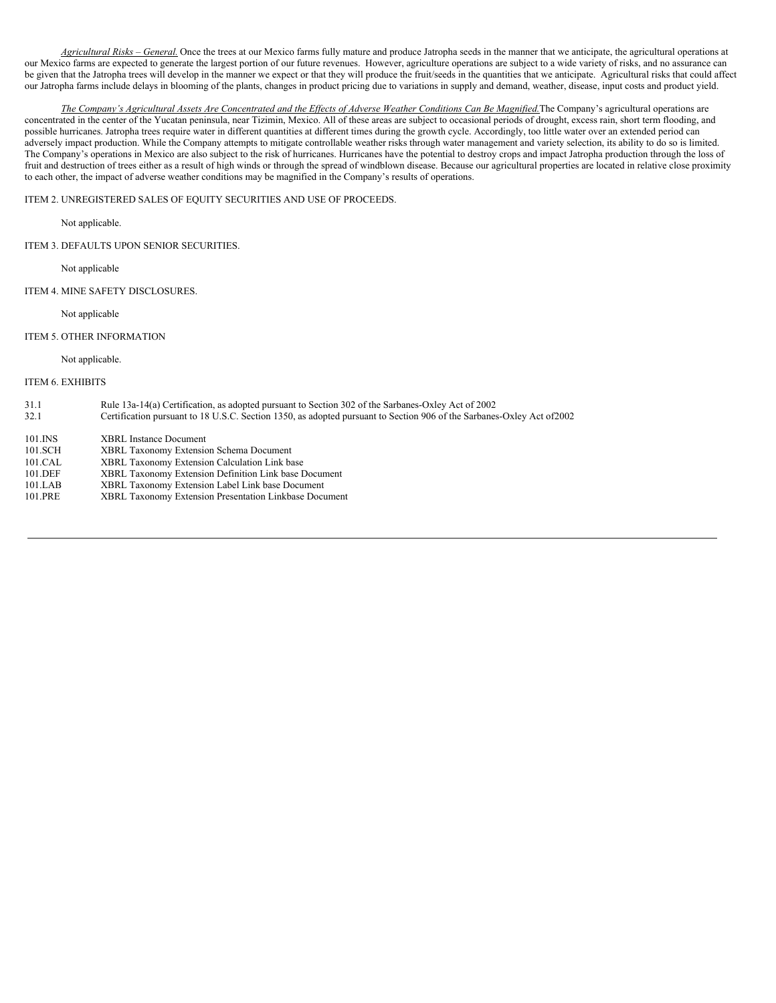*Agricultural Risks – General.* Once the trees at our Mexico farms fully mature and produce Jatropha seeds in the manner that we anticipate, the agricultural operations at our Mexico farms are expected to generate the largest portion of our future revenues. However, agriculture operations are subject to a wide variety of risks, and no assurance can be given that the Jatropha trees will develop in the manner we expect or that they will produce the fruit/seeds in the quantities that we anticipate. Agricultural risks that could affect our Jatropha farms include delays in blooming of the plants, changes in product pricing due to variations in supply and demand, weather, disease, input costs and product yield.

The Company's Agricultural Assets Are Concentrated and the Effects of Adverse Weather Conditions Can Be Magnified. The Company's agricultural operations are concentrated in the center of the Yucatan peninsula, near Tizimin, Mexico. All of these areas are subject to occasional periods of drought, excess rain, short term flooding, and possible hurricanes. Jatropha trees require water in different quantities at different times during the growth cycle. Accordingly, too little water over an extended period can adversely impact production. While the Company attempts to mitigate controllable weather risks through water management and variety selection, its ability to do so is limited. The Company's operations in Mexico are also subject to the risk of hurricanes. Hurricanes have the potential to destroy crops and impact Jatropha production through the loss of fruit and destruction of trees either as a result of high winds or through the spread of windblown disease. Because our agricultural properties are located in relative close proximity to each other, the impact of adverse weather conditions may be magnified in the Company's results of operations.

ITEM 2. UNREGISTERED SALES OF EQUITY SECURITIES AND USE OF PROCEEDS.

Not applicable.

ITEM 3. DEFAULTS UPON SENIOR SECURITIES.

Not applicable

ITEM 4. MINE SAFETY DISCLOSURES.

Not applicable

ITEM 5. OTHER INFORMATION

Not applicable.

ITEM 6. EXHIBITS

| 31.1 | Rule 13a-14(a) Certification, as adopted pursuant to Section 302 of the Sarbanes-Oxley Act of 2002                     |
|------|------------------------------------------------------------------------------------------------------------------------|
| 32.1 | Certification pursuant to 18 U.S.C. Section 1350, as adopted pursuant to Section 906 of the Sarbanes-Oxley Act of 2002 |

101.INS XBRL Instance Document<br>101.SCH XBRL Taxonomy Extensio

- 101.SCH XBRL Taxonomy Extension Schema Document<br>101.CAL XBRL Taxonomy Extension Calculation Link ba
- 101.CAL XBRL Taxonomy Extension Calculation Link base<br>
101 DEF XBRL Taxonomy Extension Definition Link base D
- 101.DEF XBRL Taxonomy Extension Definition Link base Document<br>101.LAB XBRL Taxonomy Extension Label Link base Document

101.LAB XBRL Taxonomy Extension Label Link base Document<br>101.PRE XBRL Taxonomy Extension Presentation Linkbase Docu

XBRL Taxonomy Extension Presentation Linkbase Document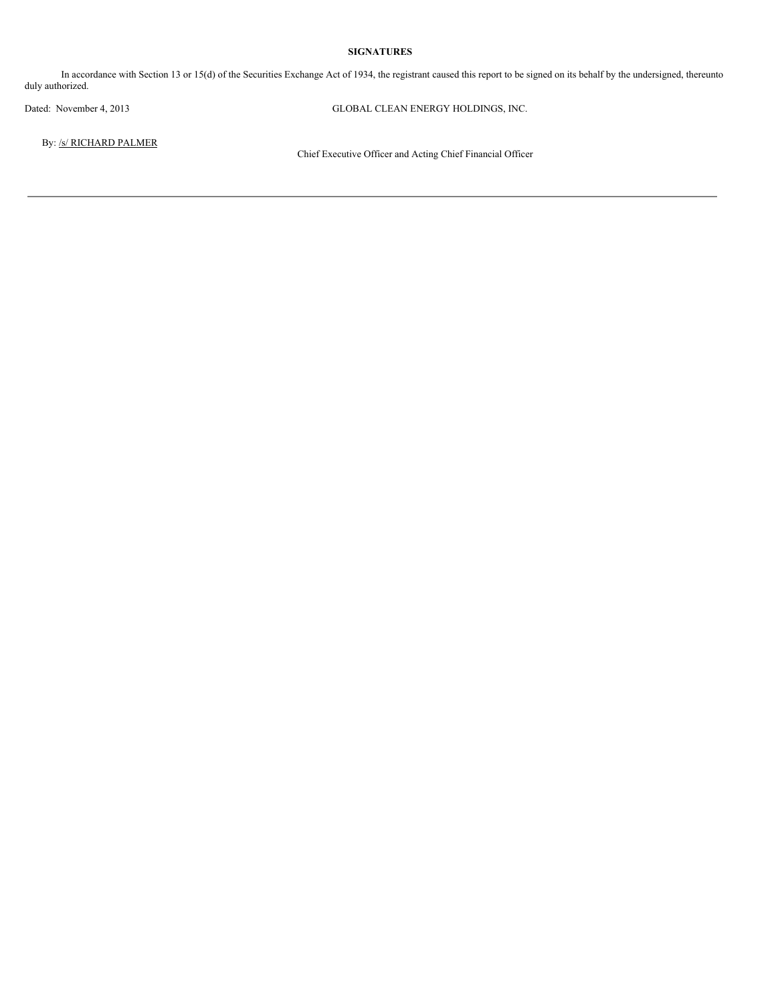# **SIGNATURES**

In accordance with Section 13 or 15(d) of the Securities Exchange Act of 1934, the registrant caused this report to be signed on its behalf by the undersigned, thereunto duly authorized.

Dated: November 4, 2013 GLOBAL CLEAN ENERGY HOLDINGS, INC.

By: /s/ RICHARD PALMER

Chief Executive Officer and Acting Chief Financial Officer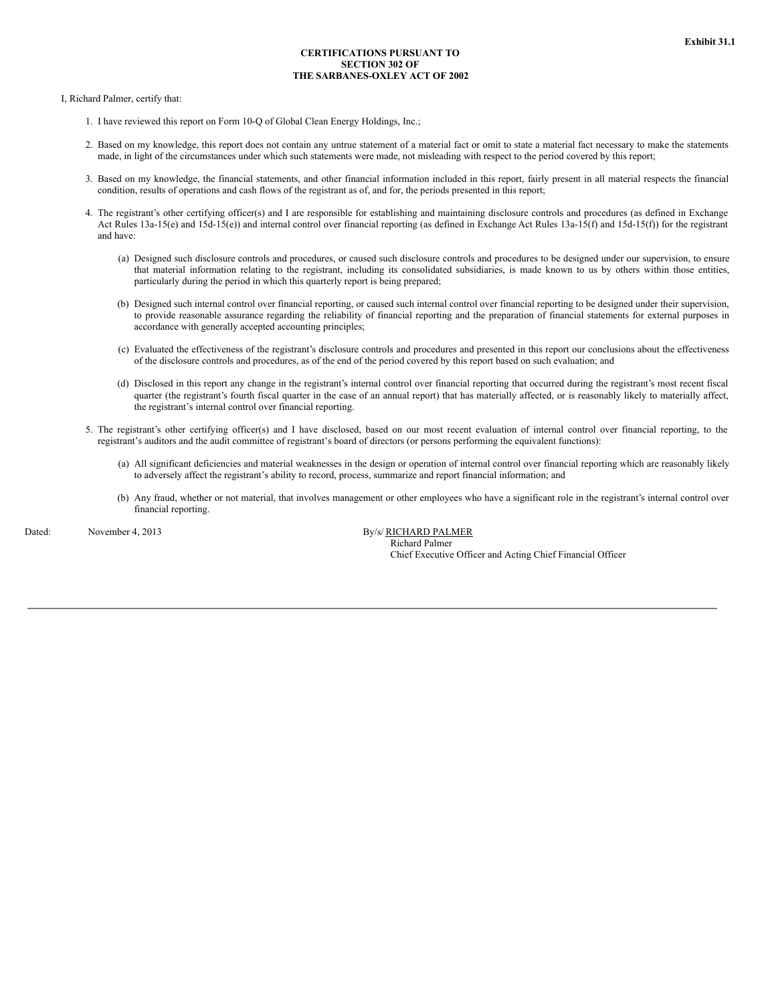### **CERTIFICATIONS PURSUANT TO SECTION 302 OF THE SARBANES-OXLEY ACT OF 2002**

I, Richard Palmer, certify that:

- 1. I have reviewed this report on Form 10-Q of Global Clean Energy Holdings, Inc.;
- 2. Based on my knowledge, this report does not contain any untrue statement of a material fact or omit to state a material fact necessary to make the statements made, in light of the circumstances under which such statements were made, not misleading with respect to the period covered by this report;
- 3. Based on my knowledge, the financial statements, and other financial information included in this report, fairly present in all material respects the financial condition, results of operations and cash flows of the registrant as of, and for, the periods presented in this report;
- 4. The registrant's other certifying officer(s) and I are responsible for establishing and maintaining disclosure controls and procedures (as defined in Exchange Act Rules 13a-15(e) and 15d-15(e)) and internal control over financial reporting (as defined in Exchange Act Rules 13a-15(f) and 15d-15(f)) for the registrant and have:
	- (a) Designed such disclosure controls and procedures, or caused such disclosure controls and procedures to be designed under our supervision, to ensure that material information relating to the registrant, including its consolidated subsidiaries, is made known to us by others within those entities, particularly during the period in which this quarterly report is being prepared;
	- (b) Designed such internal control over financial reporting, or caused such internal control over financial reporting to be designed under their supervision, to provide reasonable assurance regarding the reliability of financial reporting and the preparation of financial statements for external purposes in accordance with generally accepted accounting principles;
	- (c) Evaluated the effectiveness of the registrant's disclosure controls and procedures and presented in this report our conclusions about the effectiveness of the disclosure controls and procedures, as of the end of the period covered by this report based on such evaluation; and
	- (d) Disclosed in this report any change in the registrant's internal control over financial reporting that occurred during the registrant's most recent fiscal quarter (the registrant's fourth fiscal quarter in the case of an annual report) that has materially affected, or is reasonably likely to materially affect, the registrant's internal control over financial reporting.
- 5. The registrant's other certifying officer(s) and I have disclosed, based on our most recent evaluation of internal control over financial reporting, to the registrant's auditors and the audit committee of registrant's board of directors (or persons performing the equivalent functions):
	- (a) All significant deficiencies and material weaknesses in the design or operation of internal control over financial reporting which are reasonably likely to adversely affect the registrant's ability to record, process, summarize and report financial information; and
	- (b) Any fraud, whether or not material, that involves management or other employees who have a significant role in the registrant's internal control over financial reporting.

Dated: November 4, 2013 By/s/ RICHARD PALMER Richard Palmer

Chief Executive Officer and Acting Chief Financial Officer